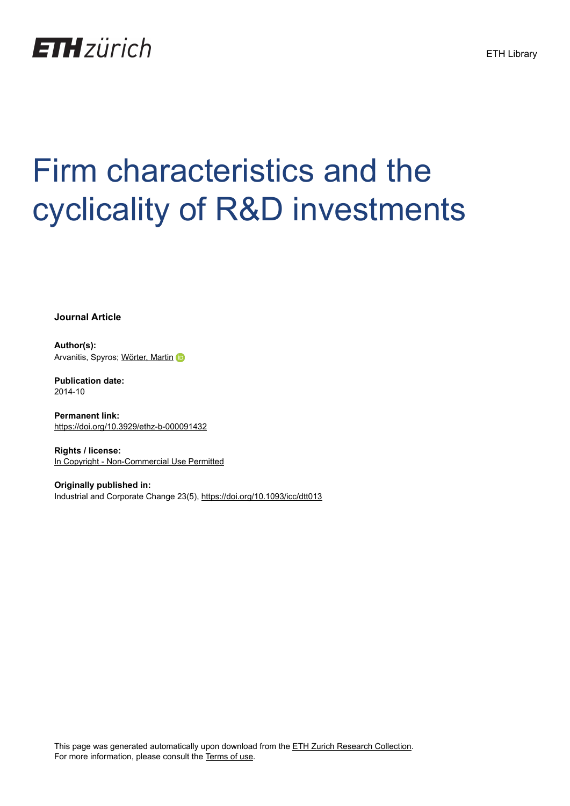

# Firm characteristics and the cyclicality of R&D investments

**Journal Article**

**Author(s):** Arvanitis, Spyros; [Wörter, Martin](https://orcid.org/0000-0003-4467-9134)

**Publication date:** 2014-10

**Permanent link:** <https://doi.org/10.3929/ethz-b-000091432>

**Rights / license:** [In Copyright - Non-Commercial Use Permitted](http://rightsstatements.org/page/InC-NC/1.0/)

**Originally published in:** Industrial and Corporate Change 23(5),<https://doi.org/10.1093/icc/dtt013>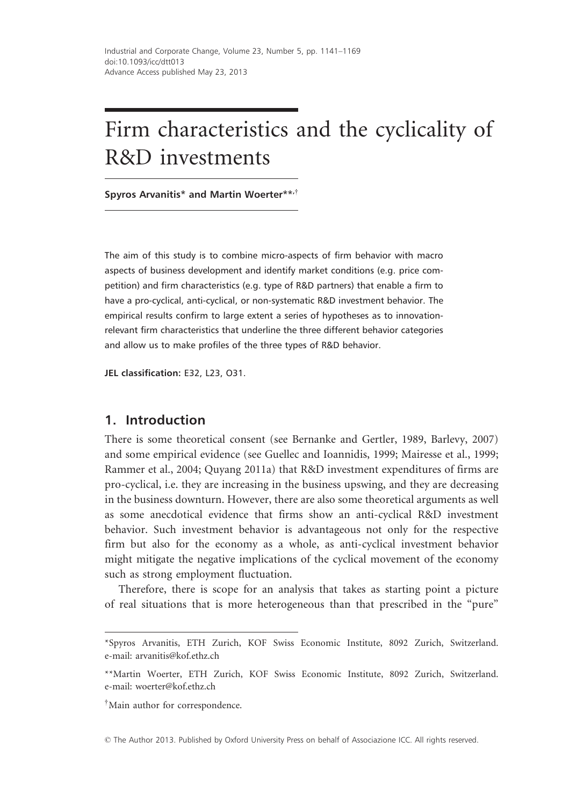# Firm characteristics and the cyclicality of R&D investments

Spyros Arvanitis\* and Martin Woerter\*\*\*

The aim of this study is to combine micro-aspects of firm behavior with macro aspects of business development and identify market conditions (e.g. price competition) and firm characteristics (e.g. type of R&D partners) that enable a firm to have a pro-cyclical, anti-cyclical, or non-systematic R&D investment behavior. The empirical results confirm to large extent a series of hypotheses as to innovationrelevant firm characteristics that underline the three different behavior categories and allow us to make profiles of the three types of R&D behavior.

JEL classification: E32, L23, O31.

# 1. Introduction

There is some theoretical consent (see [Bernanke and Gertler, 1989, Barlevy, 2007\)](#page-24-0) and some empirical evidence (see [Guellec and Ioannidis, 1999](#page-25-0); [Mairesse et al., 1999;](#page-25-0) [Rammer et al., 2004; Quyang 2011a\)](#page-25-0) that R&D investment expenditures of firms are pro-cyclical, i.e. they are increasing in the business upswing, and they are decreasing in the business downturn. However, there are also some theoretical arguments as well as some anecdotical evidence that firms show an anti-cyclical R&D investment behavior. Such investment behavior is advantageous not only for the respective firm but also for the economy as a whole, as anti-cyclical investment behavior might mitigate the negative implications of the cyclical movement of the economy such as strong employment fluctuation.

Therefore, there is scope for an analysis that takes as starting point a picture of real situations that is more heterogeneous than that prescribed in the "pure"

<sup>†</sup>Main author for correspondence.

- The Author 2013. Published by Oxford University Press on behalf of Associazione ICC. All rights reserved.

<sup>\*</sup>Spyros Arvanitis, ETH Zurich, KOF Swiss Economic Institute, 8092 Zurich, Switzerland. e-mail: arvanitis@kof.ethz.ch

<sup>\*\*</sup>Martin Woerter, ETH Zurich, KOF Swiss Economic Institute, 8092 Zurich, Switzerland. e-mail: woerter@kof.ethz.ch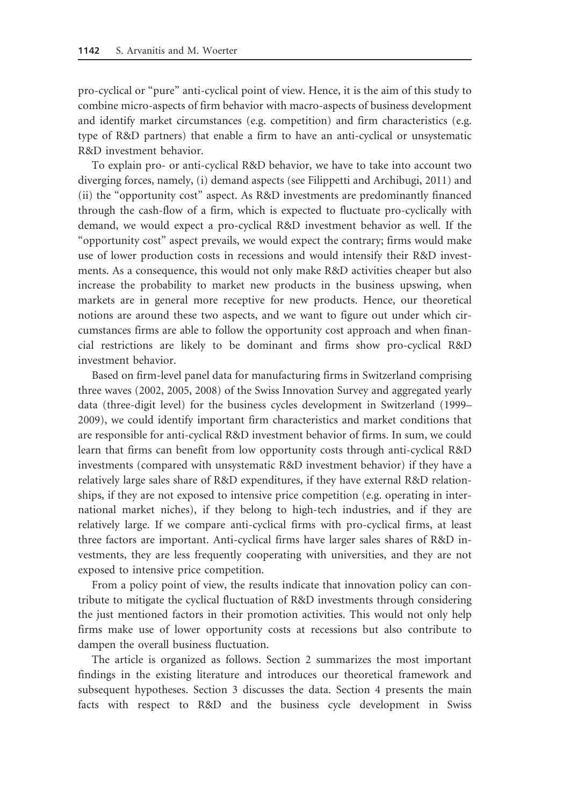pro-cyclical or "pure" anti-cyclical point of view. Hence, it is the aim of this study to combine micro-aspects of firm behavior with macro-aspects of business development and identify market circumstances (e.g. competition) and firm characteristics (e.g. type of R&D partners) that enable a firm to have an anti-cyclical or unsystematic R&D investment behavior.

To explain pro- or anti-cyclical R&D behavior, we have to take into account two diverging forces, namely, (i) demand aspects (see [Filippetti and Archibugi, 2011\)](#page-25-0) and (ii) the "opportunity cost" aspect. As R&D investments are predominantly financed through the cash-flow of a firm, which is expected to fluctuate pro-cyclically with demand, we would expect a pro-cyclical R&D investment behavior as well. If the "opportunity cost" aspect prevails, we would expect the contrary; firms would make use of lower production costs in recessions and would intensify their R&D investments. As a consequence, this would not only make R&D activities cheaper but also increase the probability to market new products in the business upswing, when markets are in general more receptive for new products. Hence, our theoretical notions are around these two aspects, and we want to figure out under which circumstances firms are able to follow the opportunity cost approach and when financial restrictions are likely to be dominant and firms show pro-cyclical R&D investment behavior.

Based on firm-level panel data for manufacturing firms in Switzerland comprising three waves (2002, 2005, 2008) of the Swiss Innovation Survey and aggregated yearly data (three-digit level) for the business cycles development in Switzerland (1999– 2009), we could identify important firm characteristics and market conditions that are responsible for anti-cyclical R&D investment behavior of firms. In sum, we could learn that firms can benefit from low opportunity costs through anti-cyclical R&D investments (compared with unsystematic R&D investment behavior) if they have a relatively large sales share of R&D expenditures, if they have external R&D relationships, if they are not exposed to intensive price competition (e.g. operating in international market niches), if they belong to high-tech industries, and if they are relatively large. If we compare anti-cyclical firms with pro-cyclical firms, at least three factors are important. Anti-cyclical firms have larger sales shares of R&D investments, they are less frequently cooperating with universities, and they are not exposed to intensive price competition.

From a policy point of view, the results indicate that innovation policy can contribute to mitigate the cyclical fluctuation of R&D investments through considering the just mentioned factors in their promotion activities. This would not only help firms make use of lower opportunity costs at recessions but also contribute to dampen the overall business fluctuation.

The article is organized as follows. Section 2 summarizes the most important findings in the existing literature and introduces our theoretical framework and subsequent hypotheses. Section 3 discusses the data. Section 4 presents the main facts with respect to R&D and the business cycle development in Swiss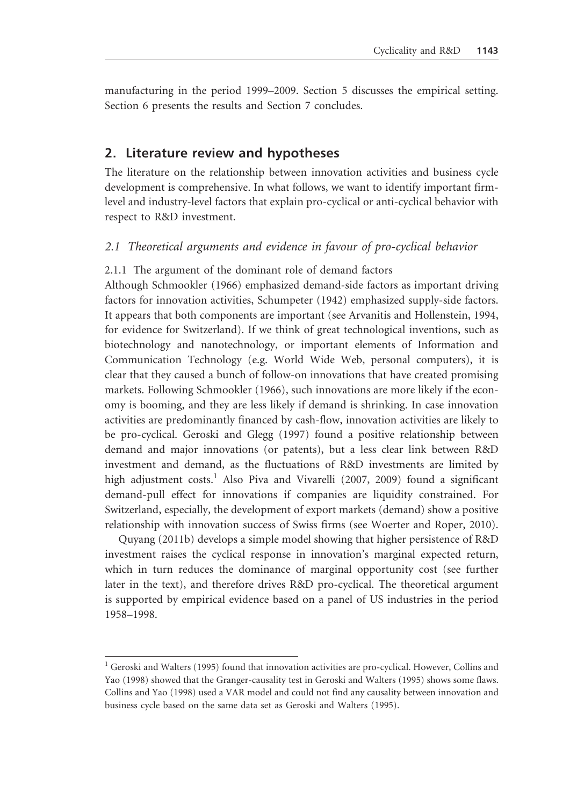manufacturing in the period 1999–2009. Section 5 discusses the empirical setting. Section 6 presents the results and Section 7 concludes.

# 2. Literature review and hypotheses

The literature on the relationship between innovation activities and business cycle development is comprehensive. In what follows, we want to identify important firmlevel and industry-level factors that explain pro-cyclical or anti-cyclical behavior with respect to R&D investment.

#### 2.1 Theoretical arguments and evidence in favour of pro-cyclical behavior

#### 2.1.1 The argument of the dominant role of demand factors

Although [Schmookler \(1966\)](#page-26-0) emphasized demand-side factors as important driving factors for innovation activities, [Schumpeter \(1942\)](#page-26-0) emphasized supply-side factors. It appears that both components are important (see [Arvanitis and Hollenstein, 1994,](#page-24-0) for evidence for Switzerland). If we think of great technological inventions, such as biotechnology and nanotechnology, or important elements of Information and Communication Technology (e.g. World Wide Web, personal computers), it is clear that they caused a bunch of follow-on innovations that have created promising markets. Following [Schmookler \(1966\)](#page-26-0), such innovations are more likely if the economy is booming, and they are less likely if demand is shrinking. In case innovation activities are predominantly financed by cash-flow, innovation activities are likely to be pro-cyclical. [Geroski and Glegg \(1997\)](#page-25-0) found a positive relationship between demand and major innovations (or patents), but a less clear link between R&D investment and demand, as the fluctuations of R&D investments are limited by high adjustment costs.<sup>1</sup> Also Piva and Vivarelli ([2007, 2009\)](#page-25-0) found a significant demand-pull effect for innovations if companies are liquidity constrained. For Switzerland, especially, the development of export markets (demand) show a positive relationship with innovation success of Swiss firms (see [Woerter and Roper, 2010](#page-26-0)).

[Quyang \(2011b\)](#page-25-0) develops a simple model showing that higher persistence of R&D investment raises the cyclical response in innovation's marginal expected return, which in turn reduces the dominance of marginal opportunity cost (see further later in the text), and therefore drives R&D pro-cyclical. The theoretical argument is supported by empirical evidence based on a panel of US industries in the period 1958–1998.

 $<sup>1</sup>$  [Geroski and Walters \(1995\)](#page-25-0) found that innovation activities are pro-cyclical. However, [Collins and](#page-24-0)</sup> [Yao \(1998\)](#page-24-0) showed that the Granger-causality test in [Geroski and Walters \(1995\)](#page-25-0) shows some flaws. [Collins and Yao \(1998\)](#page-24-0) used a VAR model and could not find any causality between innovation and business cycle based on the same data set as [Geroski and Walters \(1995\).](#page-25-0)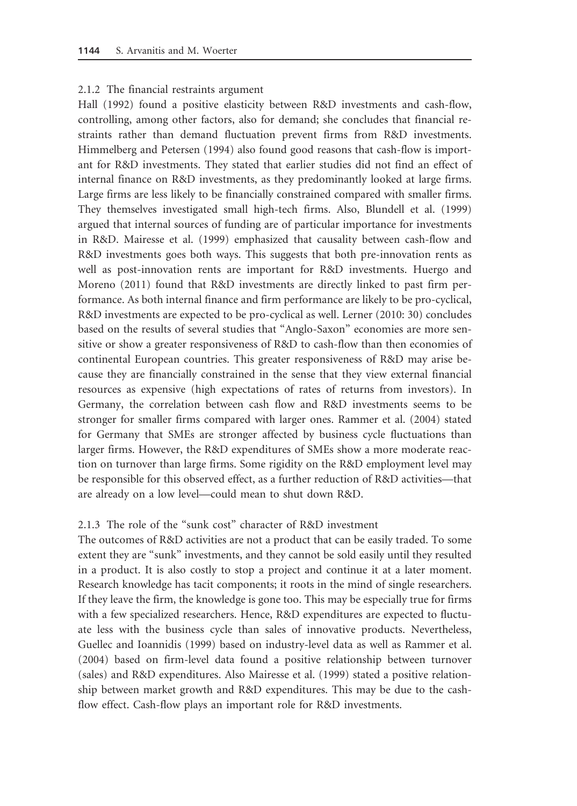#### 2.1.2 The financial restraints argument

[Hall \(1992\)](#page-25-0) found a positive elasticity between R&D investments and cash-flow, controlling, among other factors, also for demand; she concludes that financial restraints rather than demand fluctuation prevent firms from R&D investments. [Himmelberg and Petersen \(1994\)](#page-25-0) also found good reasons that cash-flow is important for R&D investments. They stated that earlier studies did not find an effect of internal finance on R&D investments, as they predominantly looked at large firms. Large firms are less likely to be financially constrained compared with smaller firms. They themselves investigated small high-tech firms. Also, [Blundell et al. \(1999\)](#page-24-0) argued that internal sources of funding are of particular importance for investments in R&D. [Mairesse et al. \(1999\)](#page-25-0) emphasized that causality between cash-flow and R&D investments goes both ways. This suggests that both pre-innovation rents as well as post-innovation rents are important for R&D investments. Huergo and Moreno (2011) found that R&D investments are directly linked to past firm performance. As both internal finance and firm performance are likely to be pro-cyclical, R&D investments are expected to be pro-cyclical as well. Lerner ([2010:](#page-25-0) 30) concludes based on the results of several studies that "Anglo-Saxon" economies are more sensitive or show a greater responsiveness of R&D to cash-flow than then economies of continental European countries. This greater responsiveness of R&D may arise because they are financially constrained in the sense that they view external financial resources as expensive (high expectations of rates of returns from investors). In Germany, the correlation between cash flow and R&D investments seems to be stronger for smaller firms compared with larger ones. [Rammer et al. \(2004\)](#page-25-0) stated for Germany that SMEs are stronger affected by business cycle fluctuations than larger firms. However, the R&D expenditures of SMEs show a more moderate reaction on turnover than large firms. Some rigidity on the R&D employment level may be responsible for this observed effect, as a further reduction of R&D activities—that are already on a low level—could mean to shut down R&D.

#### 2.1.3 The role of the "sunk cost" character of R&D investment

The outcomes of R&D activities are not a product that can be easily traded. To some extent they are "sunk" investments, and they cannot be sold easily until they resulted in a product. It is also costly to stop a project and continue it at a later moment. Research knowledge has tacit components; it roots in the mind of single researchers. If they leave the firm, the knowledge is gone too. This may be especially true for firms with a few specialized researchers. Hence, R&D expenditures are expected to fluctuate less with the business cycle than sales of innovative products. Nevertheless, [Guellec and Ioannidis \(1999\)](#page-25-0) based on industry-level data as well as [Rammer et al.](#page-25-0) [\(2004\)](#page-25-0) based on firm-level data found a positive relationship between turnover (sales) and R&D expenditures. Also [Mairesse et al. \(1999\)](#page-25-0) stated a positive relationship between market growth and R&D expenditures. This may be due to the cashflow effect. Cash-flow plays an important role for R&D investments.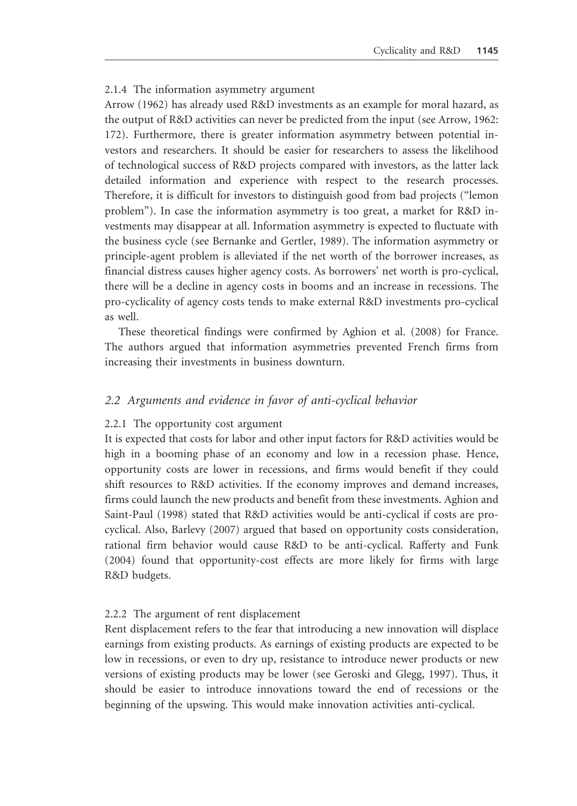#### 2.1.4 The information asymmetry argument

[Arrow \(1962\)](#page-24-0) has already used R&D investments as an example for moral hazard, as the output of R&D activities can never be predicted from the input (see [Arrow, 1962:](#page-24-0) 172). Furthermore, there is greater information asymmetry between potential investors and researchers. It should be easier for researchers to assess the likelihood of technological success of R&D projects compared with investors, as the latter lack detailed information and experience with respect to the research processes. Therefore, it is difficult for investors to distinguish good from bad projects ("lemon problem"). In case the information asymmetry is too great, a market for R&D investments may disappear at all. Information asymmetry is expected to fluctuate with the business cycle (see [Bernanke and Gertler, 1989\)](#page-24-0). The information asymmetry or principle-agent problem is alleviated if the net worth of the borrower increases, as financial distress causes higher agency costs. As borrowers' net worth is pro-cyclical, there will be a decline in agency costs in booms and an increase in recessions. The pro-cyclicality of agency costs tends to make external R&D investments pro-cyclical as well.

These theoretical findings were confirmed by [Aghion et al. \(2008\)](#page-24-0) for France. The authors argued that information asymmetries prevented French firms from increasing their investments in business downturn.

#### 2.2 Arguments and evidence in favor of anti-cyclical behavior

#### 2.2.1 The opportunity cost argument

It is expected that costs for labor and other input factors for R&D activities would be high in a booming phase of an economy and low in a recession phase. Hence, opportunity costs are lower in recessions, and firms would benefit if they could shift resources to R&D activities. If the economy improves and demand increases, firms could launch the new products and benefit from these investments. [Aghion and](#page-24-0) [Saint-Paul \(1998\)](#page-24-0) stated that R&D activities would be anti-cyclical if costs are procyclical. Also, [Barlevy \(2007\)](#page-24-0) argued that based on opportunity costs consideration, rational firm behavior would cause R&D to be anti-cyclical. [Rafferty and Funk](#page-25-0) [\(2004\)](#page-25-0) found that opportunity-cost effects are more likely for firms with large R&D budgets.

#### 2.2.2 The argument of rent displacement

Rent displacement refers to the fear that introducing a new innovation will displace earnings from existing products. As earnings of existing products are expected to be low in recessions, or even to dry up, resistance to introduce newer products or new versions of existing products may be lower (see [Geroski and Glegg, 1997\)](#page-25-0). Thus, it should be easier to introduce innovations toward the end of recessions or the beginning of the upswing. This would make innovation activities anti-cyclical.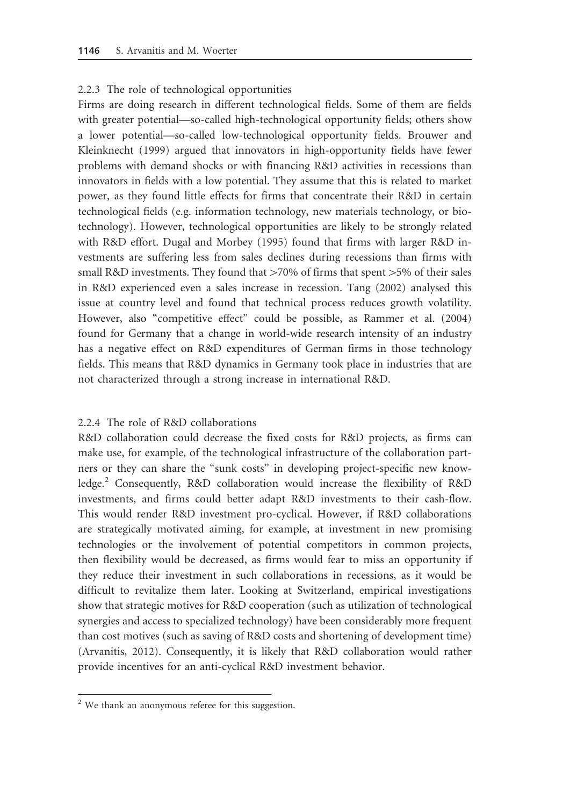#### 2.2.3 The role of technological opportunities

Firms are doing research in different technological fields. Some of them are fields with greater potential—so-called high-technological opportunity fields; others show a lower potential—so-called low-technological opportunity fields. [Brouwer and](#page-24-0) [Kleinknecht \(1999\)](#page-24-0) argued that innovators in high-opportunity fields have fewer problems with demand shocks or with financing R&D activities in recessions than innovators in fields with a low potential. They assume that this is related to market power, as they found little effects for firms that concentrate their R&D in certain technological fields (e.g. information technology, new materials technology, or biotechnology). However, technological opportunities are likely to be strongly related with R&D effort. [Dugal and Morbey \(1995\)](#page-24-0) found that firms with larger R&D investments are suffering less from sales declines during recessions than firms with small R&D investments. They found that  $>70\%$  of firms that spent  $>5\%$  of their sales in R&D experienced even a sales increase in recession. [Tang \(2002\)](#page-26-0) analysed this issue at country level and found that technical process reduces growth volatility. However, also "competitive effect" could be possible, as [Rammer et al. \(2004\)](#page-25-0) found for Germany that a change in world-wide research intensity of an industry has a negative effect on R&D expenditures of German firms in those technology fields. This means that R&D dynamics in Germany took place in industries that are not characterized through a strong increase in international R&D.

#### 2.2.4 The role of R&D collaborations

R&D collaboration could decrease the fixed costs for R&D projects, as firms can make use, for example, of the technological infrastructure of the collaboration partners or they can share the "sunk costs" in developing project-specific new knowledge.<sup>2</sup> Consequently, R&D collaboration would increase the flexibility of R&D investments, and firms could better adapt R&D investments to their cash-flow. This would render R&D investment pro-cyclical. However, if R&D collaborations are strategically motivated aiming, for example, at investment in new promising technologies or the involvement of potential competitors in common projects, then flexibility would be decreased, as firms would fear to miss an opportunity if they reduce their investment in such collaborations in recessions, as it would be difficult to revitalize them later. Looking at Switzerland, empirical investigations show that strategic motives for R&D cooperation (such as utilization of technological synergies and access to specialized technology) have been considerably more frequent than cost motives (such as saving of R&D costs and shortening of development time) [\(Arvanitis, 2012\)](#page-24-0). Consequently, it is likely that R&D collaboration would rather provide incentives for an anti-cyclical R&D investment behavior.

<sup>&</sup>lt;sup>2</sup> We thank an anonymous referee for this suggestion.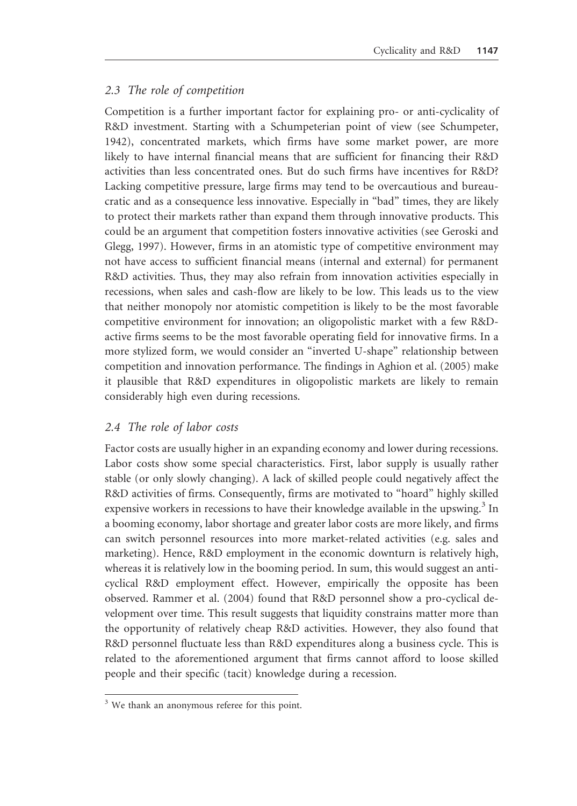#### 2.3 The role of competition

Competition is a further important factor for explaining pro- or anti-cyclicality of R&D investment. Starting with a Schumpeterian point of view (see [Schumpeter,](#page-26-0) [1942\)](#page-26-0), concentrated markets, which firms have some market power, are more likely to have internal financial means that are sufficient for financing their R&D activities than less concentrated ones. But do such firms have incentives for R&D? Lacking competitive pressure, large firms may tend to be overcautious and bureaucratic and as a consequence less innovative. Especially in "bad" times, they are likely to protect their markets rather than expand them through innovative products. This could be an argument that competition fosters innovative activities (see [Geroski and](#page-25-0) [Glegg, 1997](#page-25-0)). However, firms in an atomistic type of competitive environment may not have access to sufficient financial means (internal and external) for permanent R&D activities. Thus, they may also refrain from innovation activities especially in recessions, when sales and cash-flow are likely to be low. This leads us to the view that neither monopoly nor atomistic competition is likely to be the most favorable competitive environment for innovation; an oligopolistic market with a few R&Dactive firms seems to be the most favorable operating field for innovative firms. In a more stylized form, we would consider an "inverted U-shape" relationship between competition and innovation performance. The findings in [Aghion et al. \(2005\)](#page-24-0) make it plausible that R&D expenditures in oligopolistic markets are likely to remain considerably high even during recessions.

#### 2.4 The role of labor costs

Factor costs are usually higher in an expanding economy and lower during recessions. Labor costs show some special characteristics. First, labor supply is usually rather stable (or only slowly changing). A lack of skilled people could negatively affect the R&D activities of firms. Consequently, firms are motivated to "hoard" highly skilled expensive workers in recessions to have their knowledge available in the upswing.<sup>3</sup> In a booming economy, labor shortage and greater labor costs are more likely, and firms can switch personnel resources into more market-related activities (e.g. sales and marketing). Hence, R&D employment in the economic downturn is relatively high, whereas it is relatively low in the booming period. In sum, this would suggest an anticyclical R&D employment effect. However, empirically the opposite has been observed. [Rammer et al. \(2004\)](#page-25-0) found that R&D personnel show a pro-cyclical development over time. This result suggests that liquidity constrains matter more than the opportunity of relatively cheap R&D activities. However, they also found that R&D personnel fluctuate less than R&D expenditures along a business cycle. This is related to the aforementioned argument that firms cannot afford to loose skilled people and their specific (tacit) knowledge during a recession.

<sup>&</sup>lt;sup>3</sup> We thank an anonymous referee for this point.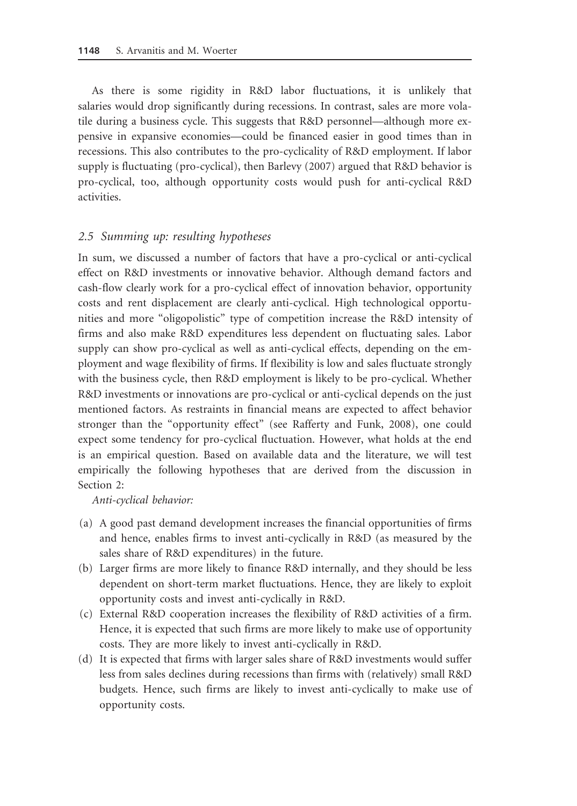As there is some rigidity in R&D labor fluctuations, it is unlikely that salaries would drop significantly during recessions. In contrast, sales are more volatile during a business cycle. This suggests that R&D personnel—although more expensive in expansive economies—could be financed easier in good times than in recessions. This also contributes to the pro-cyclicality of R&D employment. If labor supply is fluctuating (pro-cyclical), then [Barlevy \(2007\)](#page-24-0) argued that R&D behavior is pro-cyclical, too, although opportunity costs would push for anti-cyclical R&D activities.

#### 2.5 Summing up: resulting hypotheses

In sum, we discussed a number of factors that have a pro-cyclical or anti-cyclical effect on R&D investments or innovative behavior. Although demand factors and cash-flow clearly work for a pro-cyclical effect of innovation behavior, opportunity costs and rent displacement are clearly anti-cyclical. High technological opportunities and more "oligopolistic" type of competition increase the R&D intensity of firms and also make R&D expenditures less dependent on fluctuating sales. Labor supply can show pro-cyclical as well as anti-cyclical effects, depending on the employment and wage flexibility of firms. If flexibility is low and sales fluctuate strongly with the business cycle, then R&D employment is likely to be pro-cyclical. Whether R&D investments or innovations are pro-cyclical or anti-cyclical depends on the just mentioned factors. As restraints in financial means are expected to affect behavior stronger than the "opportunity effect" (see [Rafferty and Funk, 2008\)](#page-25-0), one could expect some tendency for pro-cyclical fluctuation. However, what holds at the end is an empirical question. Based on available data and the literature, we will test empirically the following hypotheses that are derived from the discussion in Section 2:

Anti-cyclical behavior:

- (a) A good past demand development increases the financial opportunities of firms and hence, enables firms to invest anti-cyclically in R&D (as measured by the sales share of R&D expenditures) in the future.
- (b) Larger firms are more likely to finance R&D internally, and they should be less dependent on short-term market fluctuations. Hence, they are likely to exploit opportunity costs and invest anti-cyclically in R&D.
- (c) External R&D cooperation increases the flexibility of R&D activities of a firm. Hence, it is expected that such firms are more likely to make use of opportunity costs. They are more likely to invest anti-cyclically in R&D.
- (d) It is expected that firms with larger sales share of R&D investments would suffer less from sales declines during recessions than firms with (relatively) small R&D budgets. Hence, such firms are likely to invest anti-cyclically to make use of opportunity costs.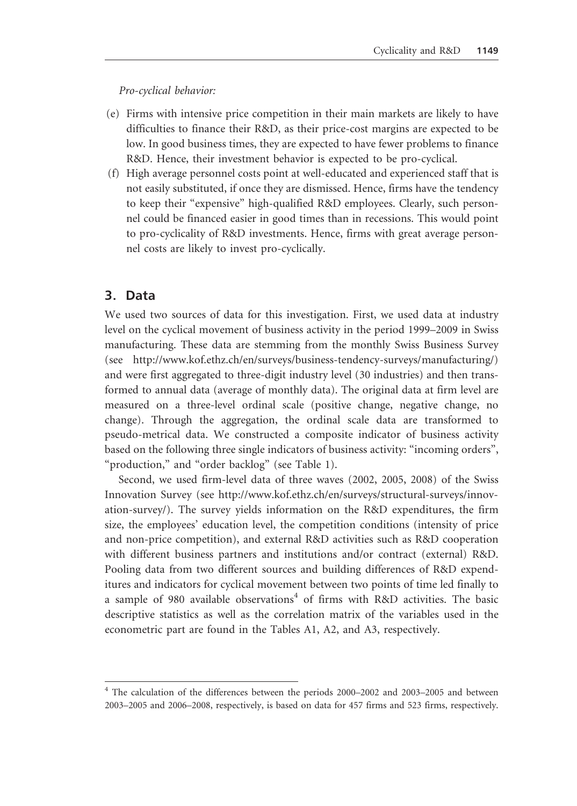Pro-cyclical behavior:

- (e) Firms with intensive price competition in their main markets are likely to have difficulties to finance their R&D, as their price-cost margins are expected to be low. In good business times, they are expected to have fewer problems to finance R&D. Hence, their investment behavior is expected to be pro-cyclical.
- (f) High average personnel costs point at well-educated and experienced staff that is not easily substituted, if once they are dismissed. Hence, firms have the tendency to keep their "expensive" high-qualified R&D employees. Clearly, such personnel could be financed easier in good times than in recessions. This would point to pro-cyclicality of R&D investments. Hence, firms with great average personnel costs are likely to invest pro-cyclically.

## 3. Data

We used two sources of data for this investigation. First, we used data at industry level on the cyclical movement of business activity in the period 1999–2009 in Swiss manufacturing. These data are stemming from the monthly Swiss Business Survey (see [http://www.kof.ethz.ch/en/surveys/business-tendency-surveys/manufacturing/\)](http://www.kof.ethz.ch/en/surveys/business-tendency-surveys/manufacturing/) and were first aggregated to three-digit industry level (30 industries) and then transformed to annual data (average of monthly data). The original data at firm level are measured on a three-level ordinal scale (positive change, negative change, no change). Through the aggregation, the ordinal scale data are transformed to pseudo-metrical data. We constructed a composite indicator of business activity based on the following three single indicators of business activity: "incoming orders", "production," and "order backlog" (see [Table 1\)](#page-10-0).

Second, we used firm-level data of three waves (2002, 2005, 2008) of the Swiss Innovation Survey (see [http://www.kof.ethz.ch/en/surveys/structural-surveys/innov](http://www.kof.ethz.ch/en/surveys/structural-surveys/innovation-survey/)[ation-survey/\)](http://www.kof.ethz.ch/en/surveys/structural-surveys/innovation-survey/). The survey yields information on the R&D expenditures, the firm size, the employees' education level, the competition conditions (intensity of price and non-price competition), and external R&D activities such as R&D cooperation with different business partners and institutions and/or contract (external) R&D. Pooling data from two different sources and building differences of R&D expenditures and indicators for cyclical movement between two points of time led finally to a sample of 980 available observations<sup>4</sup> of firms with R&D activities. The basic descriptive statistics as well as the correlation matrix of the variables used in the econometric part are found in the [Tables A1](#page-26-0), [A2](#page-27-0), and [A3](#page-28-0), respectively.

<sup>4</sup> The calculation of the differences between the periods 2000–2002 and 2003–2005 and between 2003–2005 and 2006–2008, respectively, is based on data for 457 firms and 523 firms, respectively.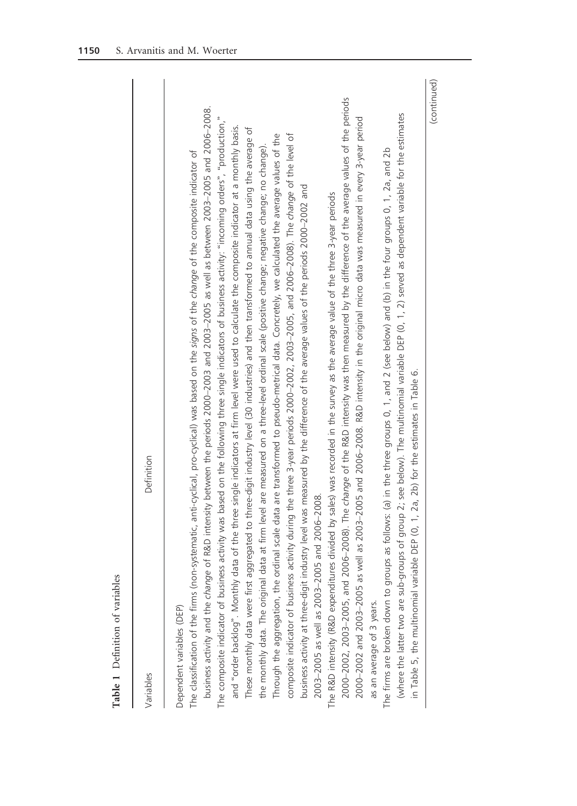<span id="page-10-0"></span>

| Dependent variables (DEP)                     |                                                                                                                                                        |
|-----------------------------------------------|--------------------------------------------------------------------------------------------------------------------------------------------------------|
|                                               | The classification of the firms (non-systematic, anti-cyclical, pro-cyclical) was based on the signs of the change of the composite indicator of       |
|                                               | business activity and the change of R&D intensity between the periods 2000–2003 and 2003–2005 as well as between 2003–2005 and 2006–2008.              |
|                                               | The composite indicator of business activity was based on the following three single indicators of business activity: "incoming orders", "production," |
|                                               | and "order backlog". Monthly data of the three single indicators at firm level were used to calculate the composite indicator at a monthly basis.      |
|                                               | These monthly data were first aggregated to three-digit industry level (30 industries) and then transformed to annual data using the average of        |
|                                               | the monthly data. The original data at firm level are measured on a three-level ordinal scale (positive change; negative change; no change).           |
|                                               | Through the aggregation, the ordinal scale data are transformed to pseudo-metrical data. Concretely, we calculated the average values of the           |
|                                               | composite indicator of business activity during the three 3-year periods 2000-2002, 2003-2005, and 2006-2008). The change of the level of              |
|                                               | business activity at three-digit industry level was measured by the difference of the average values of the periods 2000–2002 and                      |
| 2003-2005 as well as 2003-2005 and 2006-2008. |                                                                                                                                                        |
|                                               | The R&D intensity (R&D expenditures divided by sales) was recorded in the survey as the average value of the three 3-year periods                      |
| 2000-2002, 2003-2005,                         | and 2006-2008). The change of the R&D intensity was then measured by the difference of the average values of the periods                               |
|                                               | $2000-2002$ and $2005$ as well as $2003-2005$ and $2006-2008$ . R&D intensity in the original micro data was measured in every 3-year period           |
| as an average of 3 years.                     |                                                                                                                                                        |
|                                               | The firms are broken down to groups as follows: (a) in the three groups 0, 1, and 2 (see below) and (b) in the four groups 0, 1, 2a, and 2b            |
|                                               | (where the latter two are sub-groups of group 2; see below). The multinomial variable DEP (0, 1, 2) served as dependent variable for the estimates     |
|                                               | in Table 5, the multinomial variable DEP (0, 1, 2a, 2b) for the estimates in Table 6.                                                                  |

Table 1 Definition of variables

Table 1 Definition of variables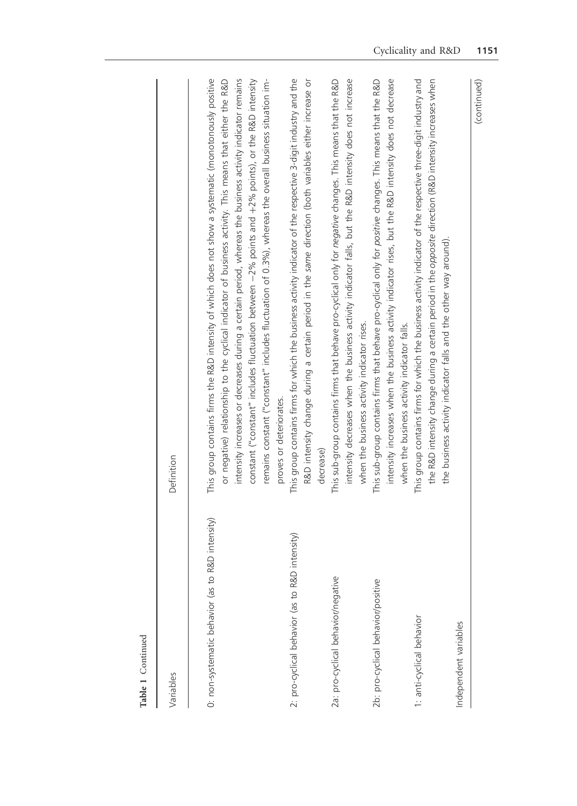| Table 1 Continued                                              |                                                                                                                                                                                                                                                                                                                                                                                                                                                                                                                                                                            |
|----------------------------------------------------------------|----------------------------------------------------------------------------------------------------------------------------------------------------------------------------------------------------------------------------------------------------------------------------------------------------------------------------------------------------------------------------------------------------------------------------------------------------------------------------------------------------------------------------------------------------------------------------|
| Variables                                                      | Definition                                                                                                                                                                                                                                                                                                                                                                                                                                                                                                                                                                 |
| 0: non-systematic behavior (as to R&D intensity)               | This group contains firms the R&D intensity of which does not show a systematic (monotonously positive<br>intensity increases or decreases during a certain period, whereas the business activity indicator remains<br>or negative) relationship to the cyclical indicator of business activity. This means that either the R&D<br>constant ("constant" includes fluctuation between -2% points and +2% points), or the R&D intensity<br>remains constant ("constant" includes fluctuation of 0.3%), whereas the overall business situation im-<br>proves or deteriorates. |
| <b>R&amp;D</b> intensity)<br>2: pro-cyclical behavior (as to F | This group contains firms for which the business activity indicator of the respective 3-digit industry and the<br>R&D intensity change during a certain period in the same direction (both variables either increase or<br>decrease)                                                                                                                                                                                                                                                                                                                                       |
| 2a: pro-cyclical behavior/negative                             | This sub-group contains firms that behave pro-cyclical only for negative changes. This means that the R&D<br>intensity decreases when the business activity indicator falls, but the R&D intensity does not increase<br>when the business activity indicator rises.                                                                                                                                                                                                                                                                                                        |
| 2b: pro-cyclical behavior/positive                             | This sub-group contains firms that behave pro-cyclical only for positive changes. This means that the R&D<br>intensity increases when the business activity indicator rises, but the R&D intensity does not decrease<br>when the business activity indicator falls.                                                                                                                                                                                                                                                                                                        |
| 1: anti-cyclical behavior                                      | This group contains firms for which the business activity indicator of the respective three-digit industry and<br>the R&D intensity change during a certain period in the opposite direction (R&D intensity increases when<br>the business activity indicator falls and the other way around).                                                                                                                                                                                                                                                                             |
| Independent variables                                          | (continued)                                                                                                                                                                                                                                                                                                                                                                                                                                                                                                                                                                |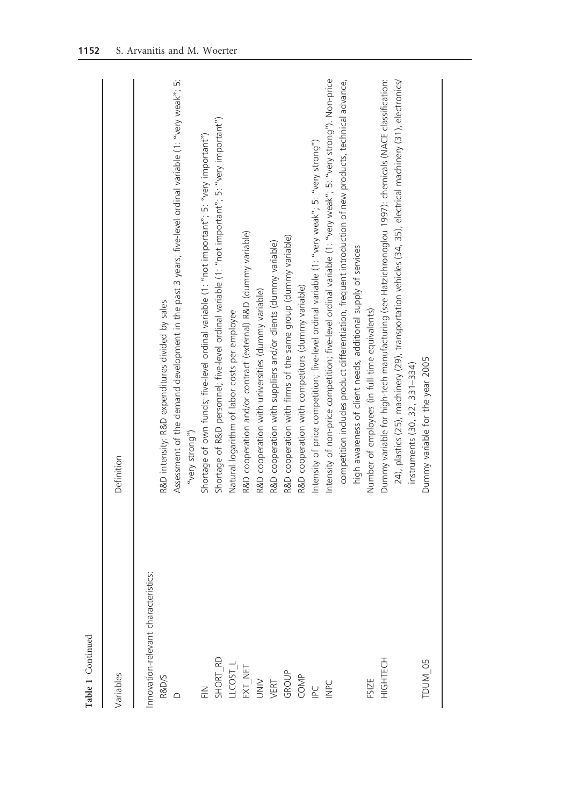| Variables                                                                             | Definition                                                                                                                 |
|---------------------------------------------------------------------------------------|----------------------------------------------------------------------------------------------------------------------------|
| nnovation-relevant characteristics:                                                   |                                                                                                                            |
| R&D/S                                                                                 | R&D intensity: R&D expenditures divided by sales                                                                           |
|                                                                                       | Assessment of the demand development in the past 3 years; five-level ordinal variable (1: "very weak"; 5:<br>"very strong" |
|                                                                                       | Shortage of own funds; five-level ordinal variable (1: "not important"; 5: "very important")                               |
|                                                                                       | Shortage of R&D personnel; five-level ordinal variable (1: "not important"; 5: "very important")                           |
| SHORT_RD<br>LLCOST_L<br>LLCOST_L<br>LCOST_L<br>COMP<br>ST_NET_LCOMP<br>GROUP<br>GROUP | Natural logarithm of labor costs per employee                                                                              |
|                                                                                       | R&D cooperation and/or contract (external) R&D (dummy variable)                                                            |
|                                                                                       | R&D cooperation with universities (dummy variable)                                                                         |
|                                                                                       | R&D cooperation with suppliers and/or clients (dummy variable)                                                             |
|                                                                                       | R&D cooperation with firms of the same group (dummy variable)                                                              |
|                                                                                       | R&D cooperation with competitors (dummy variable)                                                                          |
|                                                                                       | Intensity of price competition; five-level ordinal variable (1: "very weak"; 5: "very strong")                             |
|                                                                                       | Intensity of non-price competition; five-level ordinal variable (1: "very weak"; 5: "very strong"). Non-price              |
|                                                                                       | competition includes product differentiation, frequent introduction of new products, technical advance,                    |
|                                                                                       | high awareness of client needs, additional supply of services                                                              |
| <b>FSIZE</b>                                                                          | Number of employees (in full-time equivalents)                                                                             |
| HIGHTECH                                                                              | Dummy variable for high-tech manufacturing (see Hatzichronoglou 1997): chemicals (NACE classification:                     |
|                                                                                       | 24), plastics (25), machinery (29), transportation vehicles (34, 35), electrical machinery (31), electronics/              |
|                                                                                       | instruments (30, 32, 331-334)                                                                                              |
| TDUM <sub>_05</sub>                                                                   | Dummy variable for the year 2005                                                                                           |
|                                                                                       |                                                                                                                            |

Table 1 Continued

Table 1 Continued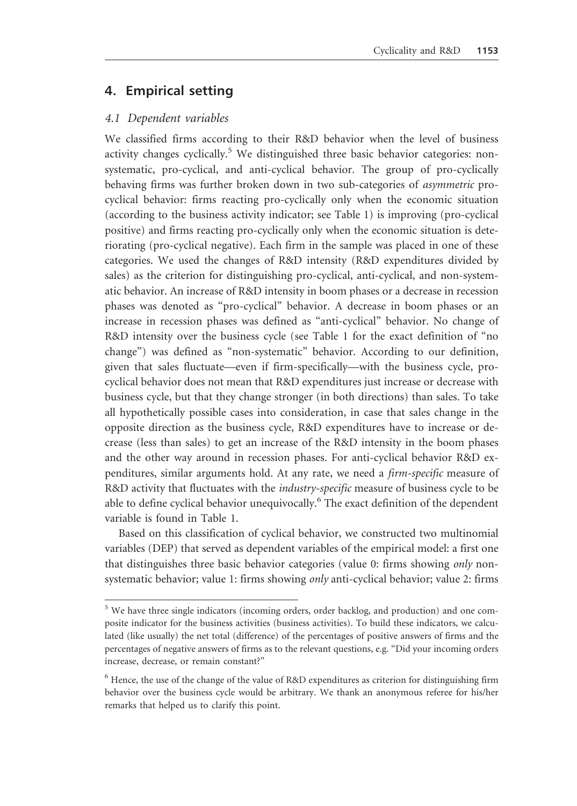# 4. Empirical setting

#### 4.1 Dependent variables

We classified firms according to their R&D behavior when the level of business activity changes cyclically.<sup>5</sup> We distinguished three basic behavior categories: nonsystematic, pro-cyclical, and anti-cyclical behavior. The group of pro-cyclically behaving firms was further broken down in two sub-categories of asymmetric procyclical behavior: firms reacting pro-cyclically only when the economic situation (according to the business activity indicator; see [Table 1](#page-10-0)) is improving (pro-cyclical positive) and firms reacting pro-cyclically only when the economic situation is deteriorating (pro-cyclical negative). Each firm in the sample was placed in one of these categories. We used the changes of R&D intensity (R&D expenditures divided by sales) as the criterion for distinguishing pro-cyclical, anti-cyclical, and non-systematic behavior. An increase of R&D intensity in boom phases or a decrease in recession phases was denoted as "pro-cyclical" behavior. A decrease in boom phases or an increase in recession phases was defined as "anti-cyclical" behavior. No change of R&D intensity over the business cycle (see [Table 1](#page-10-0) for the exact definition of "no change") was defined as "non-systematic" behavior. According to our definition, given that sales fluctuate—even if firm-specifically—with the business cycle, procyclical behavior does not mean that R&D expenditures just increase or decrease with business cycle, but that they change stronger (in both directions) than sales. To take all hypothetically possible cases into consideration, in case that sales change in the opposite direction as the business cycle, R&D expenditures have to increase or decrease (less than sales) to get an increase of the R&D intensity in the boom phases and the other way around in recession phases. For anti-cyclical behavior R&D expenditures, similar arguments hold. At any rate, we need a *firm-specific* measure of R&D activity that fluctuates with the *industry-specific* measure of business cycle to be able to define cyclical behavior unequivocally.<sup>6</sup> The exact definition of the dependent variable is found in [Table 1.](#page-10-0)

Based on this classification of cyclical behavior, we constructed two multinomial variables (DEP) that served as dependent variables of the empirical model: a first one that distinguishes three basic behavior categories (value 0: firms showing only nonsystematic behavior; value 1: firms showing *only* anti-cyclical behavior; value 2: firms

<sup>5</sup> We have three single indicators (incoming orders, order backlog, and production) and one composite indicator for the business activities (business activities). To build these indicators, we calculated (like usually) the net total (difference) of the percentages of positive answers of firms and the percentages of negative answers of firms as to the relevant questions, e.g. "Did your incoming orders increase, decrease, or remain constant?"

<sup>&</sup>lt;sup>6</sup> Hence, the use of the change of the value of R&D expenditures as criterion for distinguishing firm behavior over the business cycle would be arbitrary. We thank an anonymous referee for his/her remarks that helped us to clarify this point.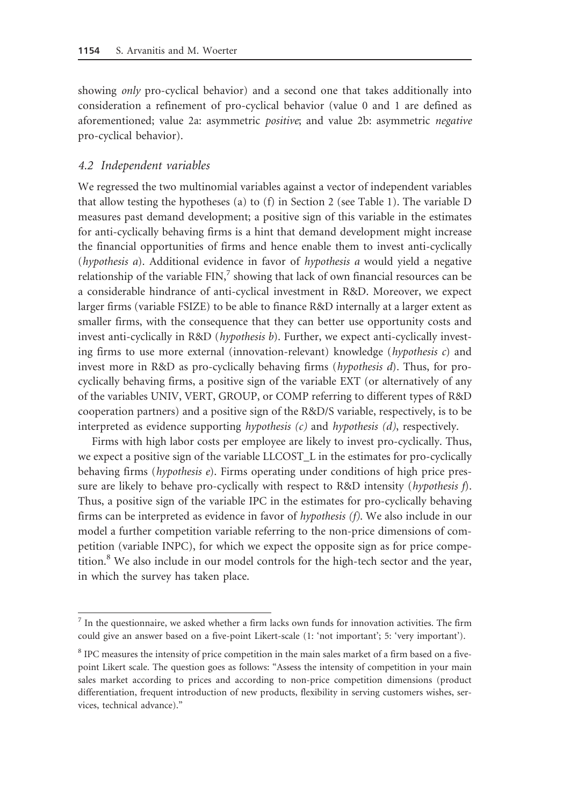showing *only* pro-cyclical behavior) and a second one that takes additionally into consideration a refinement of pro-cyclical behavior (value 0 and 1 are defined as aforementioned; value 2a: asymmetric positive; and value 2b: asymmetric negative pro-cyclical behavior).

#### 4.2 Independent variables

We regressed the two multinomial variables against a vector of independent variables that allow testing the hypotheses (a) to (f) in Section 2 (see [Table 1\)](#page-10-0). The variable D measures past demand development; a positive sign of this variable in the estimates for anti-cyclically behaving firms is a hint that demand development might increase the financial opportunities of firms and hence enable them to invest anti-cyclically (hypothesis a). Additional evidence in favor of hypothesis a would yield a negative relationship of the variable  $FIN<sub>1</sub><sup>7</sup>$  showing that lack of own financial resources can be a considerable hindrance of anti-cyclical investment in R&D. Moreover, we expect larger firms (variable FSIZE) to be able to finance R&D internally at a larger extent as smaller firms, with the consequence that they can better use opportunity costs and invest anti-cyclically in R&D (hypothesis b). Further, we expect anti-cyclically investing firms to use more external (innovation-relevant) knowledge (hypothesis c) and invest more in R&D as pro-cyclically behaving firms (hypothesis d). Thus, for procyclically behaving firms, a positive sign of the variable EXT (or alternatively of any of the variables UNIV, VERT, GROUP, or COMP referring to different types of R&D cooperation partners) and a positive sign of the R&D/S variable, respectively, is to be interpreted as evidence supporting *hypothesis*  $(c)$  and *hypothesis*  $(d)$ , respectively.

Firms with high labor costs per employee are likely to invest pro-cyclically. Thus, we expect a positive sign of the variable LLCOST\_L in the estimates for pro-cyclically behaving firms (hypothesis e). Firms operating under conditions of high price pressure are likely to behave pro-cyclically with respect to R&D intensity (*hypothesis f*). Thus, a positive sign of the variable IPC in the estimates for pro-cyclically behaving firms can be interpreted as evidence in favor of hypothesis (f). We also include in our model a further competition variable referring to the non-price dimensions of competition (variable INPC), for which we expect the opposite sign as for price competition.<sup>8</sup> We also include in our model controls for the high-tech sector and the year, in which the survey has taken place.

 $<sup>7</sup>$  In the questionnaire, we asked whether a firm lacks own funds for innovation activities. The firm</sup> could give an answer based on a five-point Likert-scale (1: 'not important'; 5: 'very important').

<sup>8</sup> IPC measures the intensity of price competition in the main sales market of a firm based on a fivepoint Likert scale. The question goes as follows: "Assess the intensity of competition in your main sales market according to prices and according to non-price competition dimensions (product differentiation, frequent introduction of new products, flexibility in serving customers wishes, services, technical advance)."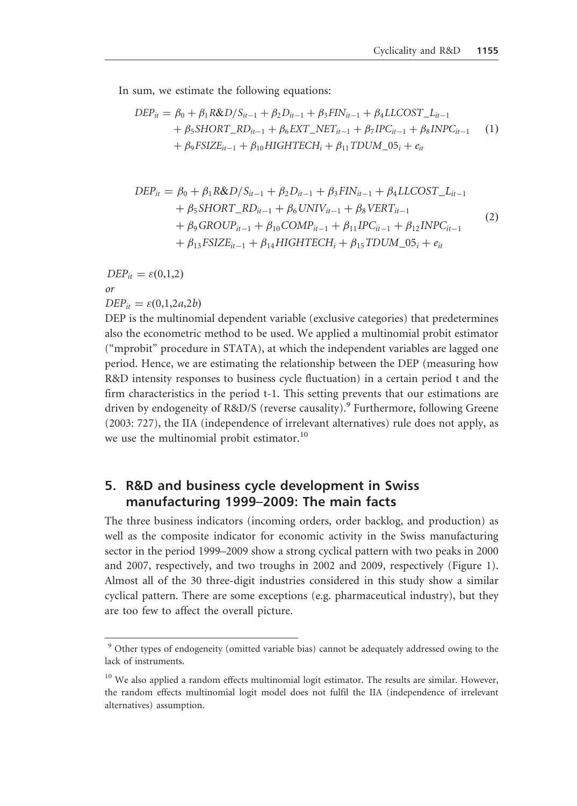In sum, we estimate the following equations:

$$
DEP_{it} = \beta_0 + \beta_1 R\&D/S_{it-1} + \beta_2 D_{it-1} + \beta_3 FIN_{it-1} + \beta_4 LLOGT\_L_{it-1} + \beta_5 SHORT\_RD_{it-1} + \beta_6 EXT\_NET_{it-1} + \beta_7 IPC_{it-1} + \beta_8 INPC_{it-1} \qquad (1) + \beta_9 FSIZE_{it-1} + \beta_{10} HIGHTECH_i + \beta_{11} TDUM\_05_i + e_{it}
$$

$$
DEP_{it} = \beta_0 + \beta_1 R \& D/S_{it-1} + \beta_2 D_{it-1} + \beta_3 FIN_{it-1} + \beta_4 L L COST\_L_{it-1} + \beta_5 SHORT\_RD_{it-1} + \beta_6 UNIV_{it-1} + \beta_8 VERT_{it-1} + \beta_9 GROUP_{it-1} + \beta_{10} COMP_{it-1} + \beta_{11} IPC_{it-1} + \beta_{12} INPC_{it-1} + \beta_{13} FSIZE_{it-1} + \beta_{14} HIGHTECH_i + \beta_{15} TDUM\_05_i + e_{it}
$$
\n(2)

 $DEP_{it} = \varepsilon(0,1,2)$ or  $DEP_{it} = \varepsilon(0,1,2a,2b)$ 

DEP is the multinomial dependent variable (exclusive categories) that predetermines also the econometric method to be used. We applied a multinomial probit estimator ("mprobit" procedure in STATA), at which the independent variables are lagged one period. Hence, we are estimating the relationship between the DEP (measuring how R&D intensity responses to business cycle fluctuation) in a certain period t and the firm characteristics in the period t-1. This setting prevents that our estimations are driven by endogeneity of R&D/S (reverse causality).<sup>9</sup> Furthermore, following Greene [\(2003](#page-25-0): 727), the IIA (independence of irrelevant alternatives) rule does not apply, as we use the multinomial probit estimator. $^{10}$ 

# 5. R&D and business cycle development in Swiss manufacturing 1999–2009: The main facts

The three business indicators (incoming orders, order backlog, and production) as well as the composite indicator for economic activity in the Swiss manufacturing sector in the period 1999–2009 show a strong cyclical pattern with two peaks in 2000 and 2007, respectively, and two troughs in 2002 and 2009, respectively [\(Figure 1](#page-16-0)). Almost all of the 30 three-digit industries considered in this study show a similar cyclical pattern. There are some exceptions (e.g. pharmaceutical industry), but they are too few to affect the overall picture.

<sup>&</sup>lt;sup>9</sup> Other types of endogeneity (omitted variable bias) cannot be adequately addressed owing to the lack of instruments.

 $10$  We also applied a random effects multinomial logit estimator. The results are similar. However, the random effects multinomial logit model does not fulfil the IIA (independence of irrelevant alternatives) assumption.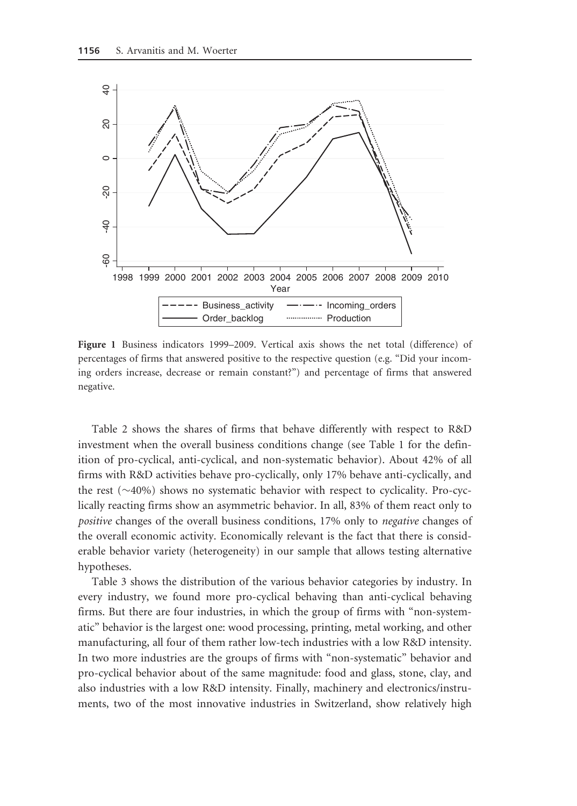<span id="page-16-0"></span>

Figure 1 Business indicators 1999–2009. Vertical axis shows the net total (difference) of percentages of firms that answered positive to the respective question (e.g. "Did your incoming orders increase, decrease or remain constant?") and percentage of firms that answered negative.

[Table 2](#page-17-0) shows the shares of firms that behave differently with respect to R&D investment when the overall business conditions change (see [Table 1](#page-10-0) for the definition of pro-cyclical, anti-cyclical, and non-systematic behavior). About 42% of all firms with R&D activities behave pro-cyclically, only 17% behave anti-cyclically, and the rest  $(\sim 40\%)$  shows no systematic behavior with respect to cyclicality. Pro-cyclically reacting firms show an asymmetric behavior. In all, 83% of them react only to positive changes of the overall business conditions, 17% only to negative changes of the overall economic activity. Economically relevant is the fact that there is considerable behavior variety (heterogeneity) in our sample that allows testing alternative hypotheses.

[Table 3](#page-17-0) shows the distribution of the various behavior categories by industry. In every industry, we found more pro-cyclical behaving than anti-cyclical behaving firms. But there are four industries, in which the group of firms with "non-systematic" behavior is the largest one: wood processing, printing, metal working, and other manufacturing, all four of them rather low-tech industries with a low R&D intensity. In two more industries are the groups of firms with "non-systematic" behavior and pro-cyclical behavior about of the same magnitude: food and glass, stone, clay, and also industries with a low R&D intensity. Finally, machinery and electronics/instru-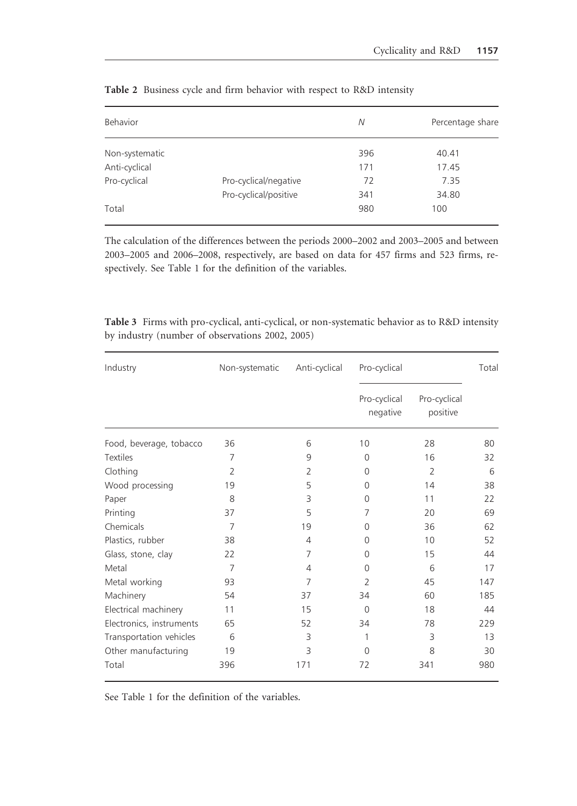| Behavior       |                       | N   | Percentage share |
|----------------|-----------------------|-----|------------------|
| Non-systematic |                       | 396 | 40.41            |
| Anti-cyclical  |                       | 171 | 17.45            |
| Pro-cyclical   | Pro-cyclical/negative | 72  | 7.35             |
|                | Pro-cyclical/positive | 341 | 34.80            |
| Total          |                       | 980 | 100              |

<span id="page-17-0"></span>Table 2 Business cycle and firm behavior with respect to R&D intensity

The calculation of the differences between the periods 2000–2002 and 2003–2005 and between 2003–2005 and 2006–2008, respectively, are based on data for 457 firms and 523 firms, respectively. See [Table 1](#page-10-0) for the definition of the variables.

| Industry                 | Non-systematic | Anti-cyclical  | Pro-cyclical             |                          | Total |
|--------------------------|----------------|----------------|--------------------------|--------------------------|-------|
|                          |                |                | Pro-cyclical<br>negative | Pro-cyclical<br>positive |       |
| Food, beverage, tobacco  | 36             | 6              | 10                       | 28                       | 80    |
| <b>Textiles</b>          | 7              | 9              | $\Omega$                 | 16                       | 32    |
| Clothing                 | $\overline{2}$ | $\overline{2}$ | $\Omega$                 | $\overline{2}$           | 6     |
| Wood processing          | 19             | 5              | $\Omega$                 | 14                       | 38    |
| Paper                    | 8              | 3              | $\Omega$                 | 11                       | 22    |
| Printing                 | 37             | 5              | 7                        | 20                       | 69    |
| Chemicals                | 7              | 19             | $\Omega$                 | 36                       | 62    |
| Plastics, rubber         | 38             | 4              | $\Omega$                 | 10                       | 52    |
| Glass, stone, clay       | 22             | 7              | $\Omega$                 | 15                       | 44    |
| Metal                    | $\overline{7}$ | $\overline{4}$ | $\Omega$                 | 6                        | 17    |
| Metal working            | 93             | 7              | $\overline{\phantom{a}}$ | 45                       | 147   |
| Machinery                | 54             | 37             | 34                       | 60                       | 185   |
| Electrical machinery     | 11             | 15             | $\Omega$                 | 18                       | 44    |
| Electronics, instruments | 65             | 52             | 34                       | 78                       | 229   |
| Transportation vehicles  | 6              | 3              | 1                        | 3                        | 13    |
| Other manufacturing      | 19             | 3              | $\Omega$                 | 8                        | 30    |
| Total                    | 396            | 171            | 72                       | 341                      | 980   |

Table 3 Firms with pro-cyclical, anti-cyclical, or non-systematic behavior as to R&D intensity by industry (number of observations 2002, 2005)

See [Table 1](#page-10-0) for the definition of the variables.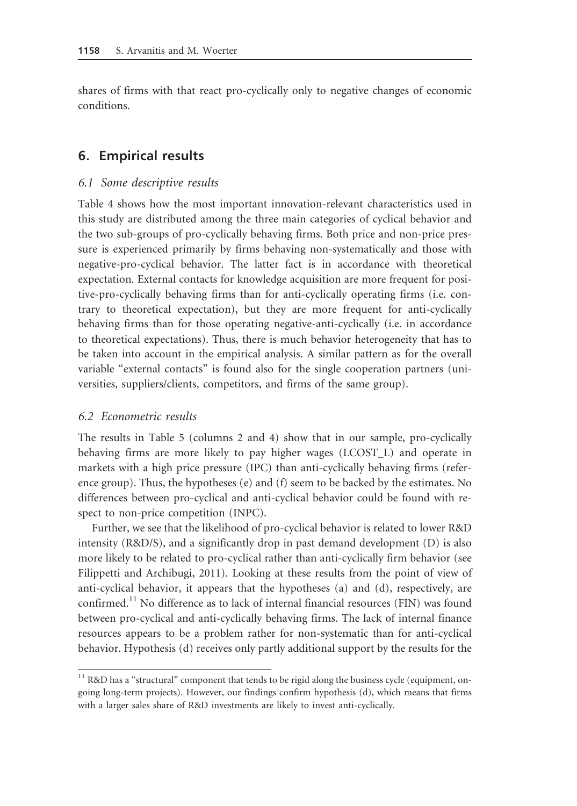shares of firms with that react pro-cyclically only to negative changes of economic conditions.

#### 6. Empirical results

#### 6.1 Some descriptive results

[Table 4](#page-19-0) shows how the most important innovation-relevant characteristics used in this study are distributed among the three main categories of cyclical behavior and the two sub-groups of pro-cyclically behaving firms. Both price and non-price pressure is experienced primarily by firms behaving non-systematically and those with negative-pro-cyclical behavior. The latter fact is in accordance with theoretical expectation. External contacts for knowledge acquisition are more frequent for positive-pro-cyclically behaving firms than for anti-cyclically operating firms (i.e. contrary to theoretical expectation), but they are more frequent for anti-cyclically behaving firms than for those operating negative-anti-cyclically (i.e. in accordance to theoretical expectations). Thus, there is much behavior heterogeneity that has to be taken into account in the empirical analysis. A similar pattern as for the overall variable "external contacts" is found also for the single cooperation partners (universities, suppliers/clients, competitors, and firms of the same group).

#### 6.2 Econometric results

The results in [Table 5](#page-20-0) (columns 2 and 4) show that in our sample, pro-cyclically behaving firms are more likely to pay higher wages (LCOST\_L) and operate in markets with a high price pressure (IPC) than anti-cyclically behaving firms (reference group). Thus, the hypotheses (e) and (f) seem to be backed by the estimates. No differences between pro-cyclical and anti-cyclical behavior could be found with respect to non-price competition (INPC).

Further, we see that the likelihood of pro-cyclical behavior is related to lower R&D intensity (R&D/S), and a significantly drop in past demand development (D) is also more likely to be related to pro-cyclical rather than anti-cyclically firm behavior (see [Filippetti and Archibugi, 2011](#page-25-0)). Looking at these results from the point of view of anti-cyclical behavior, it appears that the hypotheses (a) and (d), respectively, are confirmed.<sup>11</sup> No difference as to lack of internal financial resources (FIN) was found between pro-cyclical and anti-cyclically behaving firms. The lack of internal finance resources appears to be a problem rather for non-systematic than for anti-cyclical behavior. Hypothesis (d) receives only partly additional support by the results for the

<sup>&</sup>lt;sup>11</sup> R&D has a "structural" component that tends to be rigid along the business cycle (equipment, ongoing long-term projects). However, our findings confirm hypothesis (d), which means that firms with a larger sales share of R&D investments are likely to invest anti-cyclically.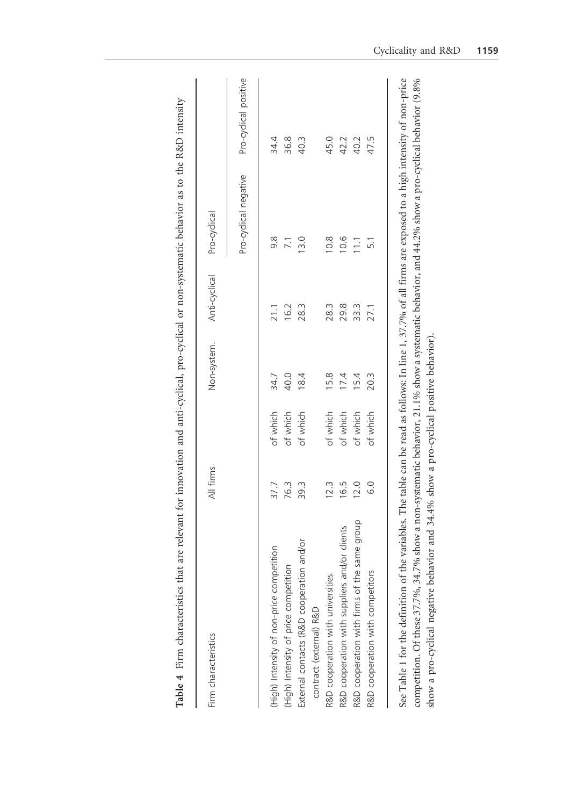<span id="page-19-0"></span>

| Firm characteristics                          | All firms |          | Non-system. | Anti-cyclical | Pro-cyclical          |                       |
|-----------------------------------------------|-----------|----------|-------------|---------------|-----------------------|-----------------------|
|                                               |           |          |             |               | Pro-cyclical negative | Pro-cyclical positive |
| (High) Intensity of non-price competition     | 37.7      | of which | 34.7        | 21.1          | 9.8                   | 34.4                  |
| (High) Intensity of price competition         | 76.3      | of which | 40.0        | 16.2          | 7.1                   | 36.8                  |
| External contacts (R&D cooperation and/or     | 39.3      | of which | 18.4        | 28.3          | 13.0                  | 40.3                  |
| contract (external) R&D                       |           |          |             |               |                       |                       |
| R&D cooperation with universities             | 12.3      | of which | 15.8        | 28.3          | 10.8                  | 45.0                  |
| R&D cooperation with suppliers and/or clients | 16.5      | of which | 17.4        | 29.8          | 10.6                  | 42.2                  |
| R&D cooperation with firms of the same group  | 12.0      | of which | <b>15.4</b> | 33.3          | 11.1                  | 40.2                  |
| R&D cooperation with competitors              | 6.0       | of which | 20.3        | 27.1          |                       | 47.5                  |

competition. Of these 37.7%, 34.7% show a non-systematic behavior, 21.1% show a systematic behavior, and 44.2% show a pro-cyclical behavior (9.8%<br>show a pro-cyclical negative behavior and 34.4% show a pro-cyclical positive competition. Of these 37.7%, 34.7% show a non-systematic behavior, 21.1% show a systematic behavior, and 44.2% show a pro-cyclical behavior (9.8% show a pro-cyclical negative behavior and 34.4% show a pro-cyclical positive behavior).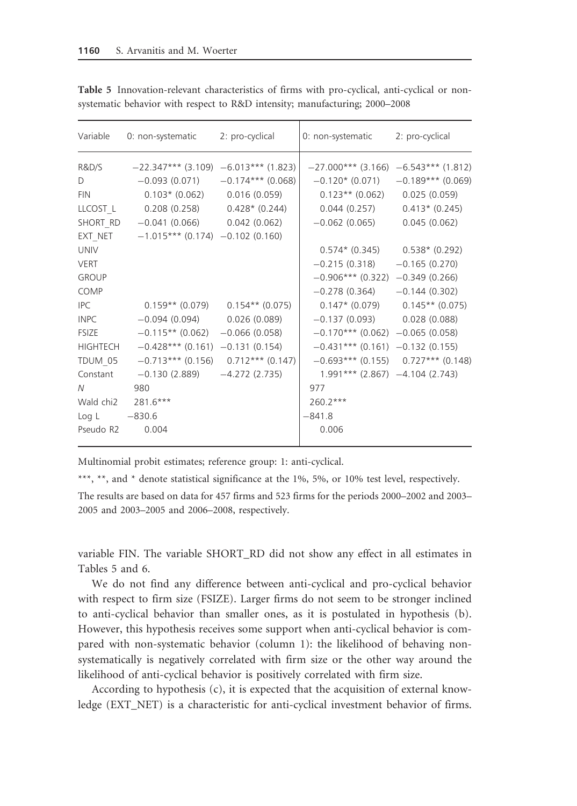| Variable         | 0: non-systematic                            | 2: pro-cyclical                    | 0: non-systematic                        | 2: pro-cyclical                    |
|------------------|----------------------------------------------|------------------------------------|------------------------------------------|------------------------------------|
| <b>R&amp;D/S</b> | $-22.347***$ (3.109) $-6.013***$ (1.823)     |                                    | $-27.000***$ (3.166) $-6.543***$ (1.812) |                                    |
| D                |                                              | $-0.093(0.071)$ $-0.174***(0.068)$ | $-0.120*(0.071)$                         | $-0.189***$ (0.069)                |
| <b>FIN</b>       | $0.103*$ $(0.062)$ $0.016$ $(0.059)$         |                                    | $0.123**$ (0.062) $0.025$ (0.059)        |                                    |
|                  | LLCOST L  0.208 (0.258)  0.428* (0.244)      |                                    | $0.044(0.257)$ $0.413*(0.245)$           |                                    |
|                  | SHORT RD -0.041 (0.066) 0.042 (0.062)        |                                    | $-0.062(0.065)$                          | 0.045(0.062)                       |
|                  | EXT NET $-1.015***$ (0.174) $-0.102$ (0.160) |                                    |                                          |                                    |
| <b>UNIV</b>      |                                              |                                    | $0.574*$ (0.345) $0.538*$ (0.292)        |                                    |
| <b>VERT</b>      |                                              |                                    | $-0.215(0.318)$                          | $-0.165(0.270)$                    |
| <b>GROUP</b>     |                                              |                                    | $-0.906***$ (0.322) $-0.349$ (0.266)     |                                    |
| COMP             |                                              |                                    | $-0.278(0.364)$                          | $-0.144(0.302)$                    |
| <b>IPC</b>       | $0.159**$ (0.079) $0.154**$ (0.075)          |                                    |                                          | $0.147* (0.079)$ $0.145** (0.075)$ |
| <b>INPC</b>      | $-0.094(0.094)$ 0.026 (0.089)                |                                    | $-0.137(0.093)$ 0.028 (0.088)            |                                    |
| <b>FSIZE</b>     | $-0.115**$ (0.062) $-0.066$ (0.058)          |                                    | $-0.170***$ (0.062) $-0.065$ (0.058)     |                                    |
| HIGHTECH         | $-0.428***$ (0.161) $-0.131$ (0.154)         |                                    | $-0.431***$ (0.161) $-0.132$ (0.155)     |                                    |
| TDUM 05          | $-0.713***$ (0.156) 0.712*** (0.147)         |                                    | $-0.693***$ (0.155) 0.727*** (0.148)     |                                    |
| Constant         | $-0.130(2.889)$                              | $-4.272(2.735)$                    | $1.991***$ (2.867) $-4.104$ (2.743)      |                                    |
| N                | 980                                          |                                    | 977                                      |                                    |
| Wald chi2        | 281.6***                                     |                                    | $260.2***$                               |                                    |
| Log L            | $-830.6$                                     |                                    | $-841.8$                                 |                                    |
| Pseudo R2        | 0.004                                        |                                    | 0.006                                    |                                    |

<span id="page-20-0"></span>Table 5 Innovation-relevant characteristics of firms with pro-cyclical, anti-cyclical or nonsystematic behavior with respect to R&D intensity; manufacturing; 2000–2008

Multinomial probit estimates; reference group: 1: anti-cyclical.

\*\*\*, \*\*, and \* denote statistical significance at the 1%, 5%, or 10% test level, respectively.

The results are based on data for 457 firms and 523 firms for the periods 2000–2002 and 2003– 2005 and 2003–2005 and 2006–2008, respectively.

variable FIN. The variable SHORT\_RD did not show any effect in all estimates in Tables 5 and [6.](#page-21-0)

We do not find any difference between anti-cyclical and pro-cyclical behavior with respect to firm size (FSIZE). Larger firms do not seem to be stronger inclined to anti-cyclical behavior than smaller ones, as it is postulated in hypothesis (b). However, this hypothesis receives some support when anti-cyclical behavior is compared with non-systematic behavior (column 1): the likelihood of behaving nonsystematically is negatively correlated with firm size or the other way around the likelihood of anti-cyclical behavior is positively correlated with firm size.

According to hypothesis (c), it is expected that the acquisition of external knowledge (EXT\_NET) is a characteristic for anti-cyclical investment behavior of firms.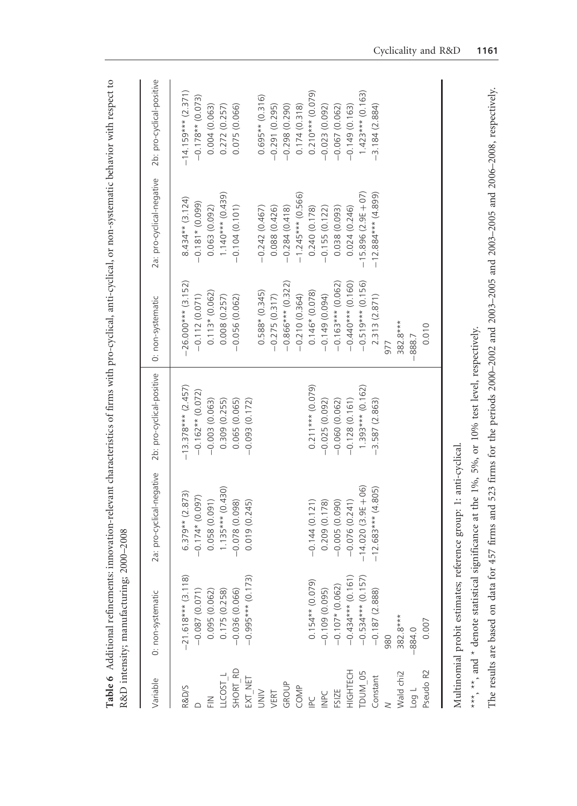<span id="page-21-0"></span>

|                                     | R&D intensity; manufacturing; 2000-2008 | Table 6 Additional refinements: innovation-relevant characteristics of firms with pro-cyclical, anti-cyclical, or non-systematic behavior with respect to |                           |                      |                           |                           |
|-------------------------------------|-----------------------------------------|-----------------------------------------------------------------------------------------------------------------------------------------------------------|---------------------------|----------------------|---------------------------|---------------------------|
| Variable                            | 0: non-systematio                       | 2a: pro-cyclical-negative                                                                                                                                 | 2b: pro-cyclical-positive | 0: non-systematic    | 2a: pro-cyclical-negative | 2b: pro-cyclical-positive |
|                                     |                                         |                                                                                                                                                           |                           |                      |                           |                           |
| R&D/S                               | $-21.618***$ (3.118)                    | $6.379**$ (2.873)                                                                                                                                         | $-13.378***$ (2.457)      | $-26.000***$ (3.152) | $8.434**$ (3.124)         | $-14.159***$ (2.371)      |
|                                     | $-0.087(0.071)$                         | $-0.174*(0.097)$                                                                                                                                          | $-0.162**$ (0.072)        | $-0.112(0.071)$      | $-0.181*(0.099)$          | $-0.178**$ (0.073)        |
| $\leq$                              | 0.095(0.062)                            | 0.058(0.091)                                                                                                                                              | $-0.003(0.063)$           | $0.113*(0.062)$      | 0.063(0.092)              | 0.004(0.063)              |
| TCO <sub>21</sub>                   |                                         | $1.135***$ (0.430)                                                                                                                                        | 0.309(0.255)              | 0.008(0.257)         | $1.140***$ (0.439)        | 0.272(0.257)              |
| SHORT RD                            | $0.175(0.258)$<br>-0.036 (0.066)        | $-0.078(0.098)$                                                                                                                                           | 0.065(0.065)              | $-0.056(0.062)$      | $-0.104(0.101)$           | 0.075 (0.066)             |
| EXT_NET                             | $-0.995***$ (0.173)                     | 0.019(0.245)                                                                                                                                              | $-0.093(0.172)$           |                      |                           |                           |
| UNIV<br>VERT                        |                                         |                                                                                                                                                           |                           | $0.588*(0.345)$      | $-0.242(0.467)$           | $0.695**$ (0.316)         |
|                                     |                                         |                                                                                                                                                           |                           | $-0.275(0.317)$      | 0.088(0.426)              | $-0.291(0.295)$           |
| GROUP                               |                                         |                                                                                                                                                           |                           | $-0.866***$ (0.322)  | $-0.284(0.418)$           | $-0.298(0.290)$           |
| COMP                                |                                         |                                                                                                                                                           |                           | $-0.210(0.364)$      | $-1.245***$ (0.566)       | 0.174(0.318)              |
| $\overline{\underline{\mathsf{P}}}$ | $0.154**$ (0.079)                       | $-0.144(0.121)$                                                                                                                                           | $0.211***$ (0.079)        | $0.146*(0.078)$      | 0.240(0.178)              | $0.210***$ (0.079)        |
| DdM                                 | 0.109(0.095)                            | 0.209 (0.178)                                                                                                                                             | $-0.025(0.092)$           | $-0.149(0.094)$      | $-0.155(0.122)$           | $-0.023(0.092)$           |
| <b>FSIZE</b>                        | $-0.107*(0.062)$                        | $-0.005(0.090)$                                                                                                                                           | $-0.060(0.062)$           | $-0.163***$ (0.062)  | (0.038)(0.093)            | $-0.067(0.062)$           |
| HIGHTECH                            | $-0.434***$ (0.161)                     | $-0.076(0.241)$                                                                                                                                           | $-0.128(0.161)$           | $-0.440***$ (0.160)  | 0.024(0.246)              | $-0.149(0.163)$           |
| TDUM_05                             | $-0.534***$ (0.157)                     | $-14.020(3.9E+06)$                                                                                                                                        | $1.393***$ (0.162)        | $-0.519***$ (0.156)  | $-15.896(2.9E+07)$        | $1.423***$ (0.163)        |
| Constant                            | $-0.187(2.888)$                         | $-12.683***$ (4.805)                                                                                                                                      | $-3.587(2.863)$           | 2.313 (2.871)        | $-12.884***$ (4.899)      | $-3.184(2.884)$           |
|                                     | 980                                     |                                                                                                                                                           |                           | 977                  |                           |                           |
| Wald chi2                           | $382.8***$                              |                                                                                                                                                           |                           | $382.8***$           |                           |                           |
| 1 por                               | $-884.0$                                |                                                                                                                                                           |                           | $-888.7$             |                           |                           |
| Pseudo R2                           | 0.007                                   |                                                                                                                                                           |                           | 0.010                |                           |                           |
|                                     | あまいれい しょうしょう しょうしょう                     |                                                                                                                                                           |                           |                      |                           |                           |
|                                     |                                         |                                                                                                                                                           |                           |                      |                           |                           |

Multinomial probit estimates; reference group: 1: anti-cyclical. Multinomial probit estimates; reference group: 1: anti-cyclical.

The results are based on data for 457 firms and 523 firms for the periods  $2000-2002$  and  $2003-2005$  and  $2006-2008$ , respectively. \*\*\*, \*\*, and \* denote statistical significance at the 1%, 5%, or 10% test level, respectively. \*\*\*, \*\*, and \* denote statistical significance at the 1%, 5%, or 10% test level, respectively.

The results are based on data for 457 firms and 523 firms for the periods 2000–2002 and 2003–2005 and 2005–2006–2006, respectively.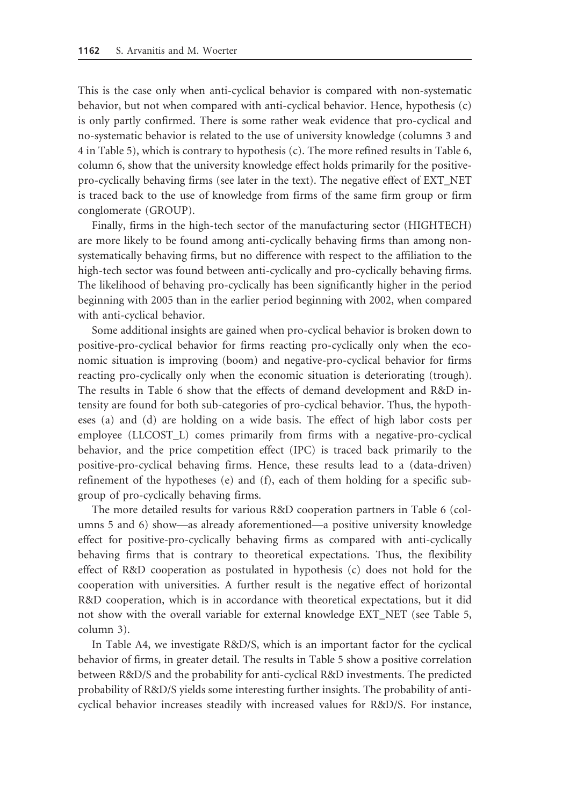This is the case only when anti-cyclical behavior is compared with non-systematic behavior, but not when compared with anti-cyclical behavior. Hence, hypothesis (c) is only partly confirmed. There is some rather weak evidence that pro-cyclical and no-systematic behavior is related to the use of university knowledge (columns 3 and 4 in [Table 5](#page-20-0)), which is contrary to hypothesis (c). The more refined results in [Table 6,](#page-21-0) column 6, show that the university knowledge effect holds primarily for the positivepro-cyclically behaving firms (see later in the text). The negative effect of EXT\_NET is traced back to the use of knowledge from firms of the same firm group or firm conglomerate (GROUP).

Finally, firms in the high-tech sector of the manufacturing sector (HIGHTECH) are more likely to be found among anti-cyclically behaving firms than among nonsystematically behaving firms, but no difference with respect to the affiliation to the high-tech sector was found between anti-cyclically and pro-cyclically behaving firms. The likelihood of behaving pro-cyclically has been significantly higher in the period beginning with 2005 than in the earlier period beginning with 2002, when compared with anti-cyclical behavior.

Some additional insights are gained when pro-cyclical behavior is broken down to positive-pro-cyclical behavior for firms reacting pro-cyclically only when the economic situation is improving (boom) and negative-pro-cyclical behavior for firms reacting pro-cyclically only when the economic situation is deteriorating (trough). The results in [Table 6](#page-21-0) show that the effects of demand development and R&D intensity are found for both sub-categories of pro-cyclical behavior. Thus, the hypotheses (a) and (d) are holding on a wide basis. The effect of high labor costs per employee (LLCOST\_L) comes primarily from firms with a negative-pro-cyclical behavior, and the price competition effect (IPC) is traced back primarily to the positive-pro-cyclical behaving firms. Hence, these results lead to a (data-driven) refinement of the hypotheses (e) and (f), each of them holding for a specific subgroup of pro-cyclically behaving firms.

The more detailed results for various R&D cooperation partners in [Table 6](#page-21-0) (columns 5 and 6) show—as already aforementioned—a positive university knowledge effect for positive-pro-cyclically behaving firms as compared with anti-cyclically behaving firms that is contrary to theoretical expectations. Thus, the flexibility effect of R&D cooperation as postulated in hypothesis (c) does not hold for the cooperation with universities. A further result is the negative effect of horizontal R&D cooperation, which is in accordance with theoretical expectations, but it did not show with the overall variable for external knowledge EXT\_NET (see [Table 5,](#page-20-0) column 3).

In [Table A4](#page-29-0), we investigate R&D/S, which is an important factor for the cyclical behavior of firms, in greater detail. The results in [Table 5](#page-20-0) show a positive correlation between R&D/S and the probability for anti-cyclical R&D investments. The predicted probability of R&D/S yields some interesting further insights. The probability of anticyclical behavior increases steadily with increased values for R&D/S. For instance,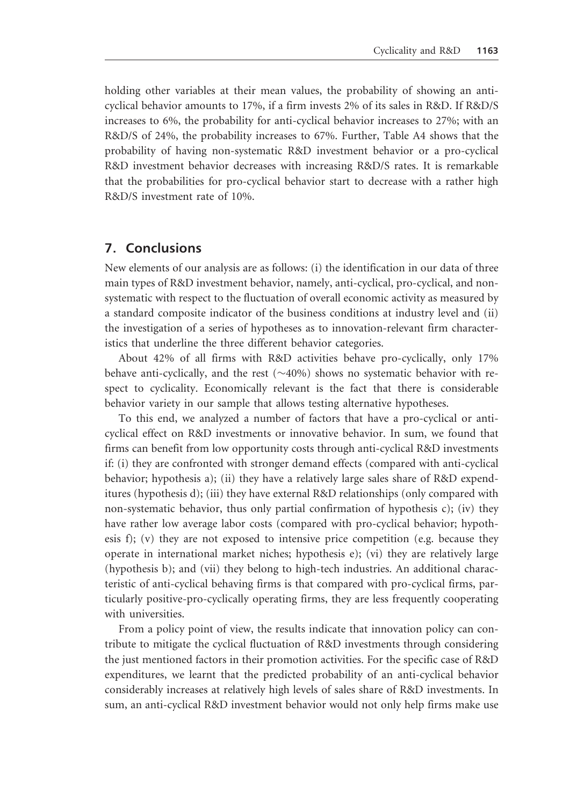holding other variables at their mean values, the probability of showing an anticyclical behavior amounts to 17%, if a firm invests 2% of its sales in R&D. If R&D/S increases to 6%, the probability for anti-cyclical behavior increases to 27%; with an R&D/S of 24%, the probability increases to 67%. Further, [Table A4](#page-29-0) shows that the probability of having non-systematic R&D investment behavior or a pro-cyclical R&D investment behavior decreases with increasing R&D/S rates. It is remarkable that the probabilities for pro-cyclical behavior start to decrease with a rather high R&D/S investment rate of 10%.

#### 7. Conclusions

New elements of our analysis are as follows: (i) the identification in our data of three main types of R&D investment behavior, namely, anti-cyclical, pro-cyclical, and nonsystematic with respect to the fluctuation of overall economic activity as measured by a standard composite indicator of the business conditions at industry level and (ii) the investigation of a series of hypotheses as to innovation-relevant firm characteristics that underline the three different behavior categories.

About 42% of all firms with R&D activities behave pro-cyclically, only 17% behave anti-cyclically, and the rest ( $\sim$ 40%) shows no systematic behavior with respect to cyclicality. Economically relevant is the fact that there is considerable behavior variety in our sample that allows testing alternative hypotheses.

To this end, we analyzed a number of factors that have a pro-cyclical or anticyclical effect on R&D investments or innovative behavior. In sum, we found that firms can benefit from low opportunity costs through anti-cyclical R&D investments if: (i) they are confronted with stronger demand effects (compared with anti-cyclical behavior; hypothesis a); (ii) they have a relatively large sales share of R&D expenditures (hypothesis d); (iii) they have external R&D relationships (only compared with non-systematic behavior, thus only partial confirmation of hypothesis c); (iv) they have rather low average labor costs (compared with pro-cyclical behavior; hypothesis f); (v) they are not exposed to intensive price competition (e.g. because they operate in international market niches; hypothesis e); (vi) they are relatively large (hypothesis b); and (vii) they belong to high-tech industries. An additional characteristic of anti-cyclical behaving firms is that compared with pro-cyclical firms, particularly positive-pro-cyclically operating firms, they are less frequently cooperating with universities.

From a policy point of view, the results indicate that innovation policy can contribute to mitigate the cyclical fluctuation of R&D investments through considering the just mentioned factors in their promotion activities. For the specific case of R&D expenditures, we learnt that the predicted probability of an anti-cyclical behavior considerably increases at relatively high levels of sales share of R&D investments. In sum, an anti-cyclical R&D investment behavior would not only help firms make use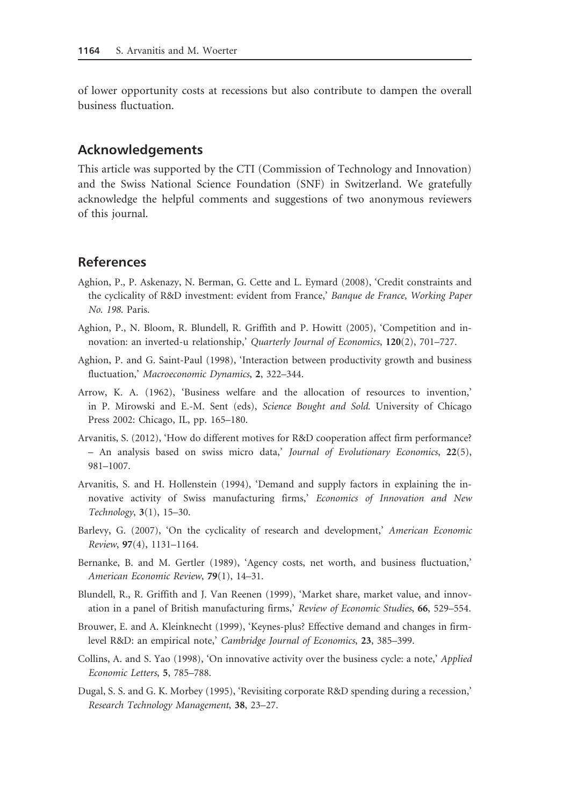<span id="page-24-0"></span>of lower opportunity costs at recessions but also contribute to dampen the overall business fluctuation.

## Acknowledgements

This article was supported by the CTI (Commission of Technology and Innovation) and the Swiss National Science Foundation (SNF) in Switzerland. We gratefully acknowledge the helpful comments and suggestions of two anonymous reviewers of this journal.

# References

- Aghion, P., P. Askenazy, N. Berman, G. Cette and L. Eymard (2008), 'Credit constraints and the cyclicality of R&D investment: evident from France,' Banque de France, Working Paper No. 198. Paris.
- Aghion, P., N. Bloom, R. Blundell, R. Griffith and P. Howitt (2005), 'Competition and innovation: an inverted-u relationship,' Quarterly Journal of Economics, 120(2), 701–727.
- Aghion, P. and G. Saint-Paul (1998), 'Interaction between productivity growth and business fluctuation,' Macroeconomic Dynamics, 2, 322-344.
- Arrow, K. A. (1962), 'Business welfare and the allocation of resources to invention,' in P. Mirowski and E.-M. Sent (eds), Science Bought and Sold. University of Chicago Press 2002: Chicago, IL, pp. 165–180.
- Arvanitis, S. (2012), 'How do different motives for R&D cooperation affect firm performance? – An analysis based on swiss micro data,' Journal of Evolutionary Economics, 22(5), 981–1007.
- Arvanitis, S. and H. Hollenstein (1994), 'Demand and supply factors in explaining the innovative activity of Swiss manufacturing firms,' Economics of Innovation and New Technology, 3(1), 15–30.
- Barlevy, G. (2007), 'On the cyclicality of research and development,' American Economic Review, 97(4), 1131–1164.
- Bernanke, B. and M. Gertler (1989), 'Agency costs, net worth, and business fluctuation,' American Economic Review, 79(1), 14–31.
- Blundell, R., R. Griffith and J. Van Reenen (1999), 'Market share, market value, and innovation in a panel of British manufacturing firms,' Review of Economic Studies, 66, 529–554.
- Brouwer, E. and A. Kleinknecht (1999), 'Keynes-plus? Effective demand and changes in firmlevel R&D: an empirical note,' Cambridge Journal of Economics, 23, 385-399.
- Collins, A. and S. Yao (1998), 'On innovative activity over the business cycle: a note,' Applied Economic Letters, 5, 785–788.
- Dugal, S. S. and G. K. Morbey (1995), 'Revisiting corporate R&D spending during a recession,' Research Technology Management, 38, 23–27.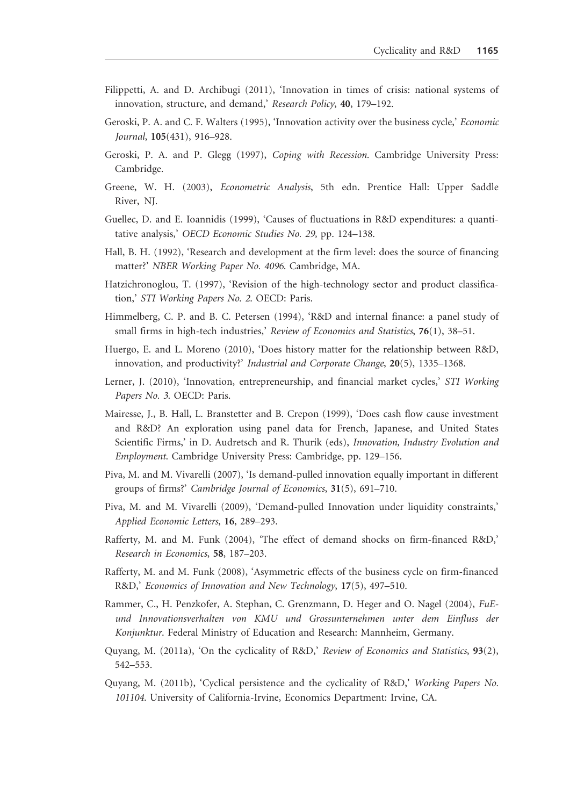- <span id="page-25-0"></span>Filippetti, A. and D. Archibugi (2011), 'Innovation in times of crisis: national systems of innovation, structure, and demand,' Research Policy, 40, 179–192.
- Geroski, P. A. and C. F. Walters (1995), 'Innovation activity over the business cycle,' Economic Journal, 105(431), 916–928.
- Geroski, P. A. and P. Glegg (1997), Coping with Recession. Cambridge University Press: Cambridge.
- Greene, W. H. (2003), Econometric Analysis, 5th edn. Prentice Hall: Upper Saddle River, NJ.
- Guellec, D. and E. Ioannidis (1999), 'Causes of fluctuations in R&D expenditures: a quantitative analysis,' OECD Economic Studies No. 29, pp. 124–138.
- Hall, B. H. (1992), 'Research and development at the firm level: does the source of financing matter?' NBER Working Paper No. 4096. Cambridge, MA.
- Hatzichronoglou, T. (1997), 'Revision of the high-technology sector and product classification,' STI Working Papers No. 2. OECD: Paris.
- Himmelberg, C. P. and B. C. Petersen (1994), 'R&D and internal finance: a panel study of small firms in high-tech industries,' Review of Economics and Statistics, 76(1), 38-51.
- Huergo, E. and L. Moreno (2010), 'Does history matter for the relationship between R&D, innovation, and productivity?' Industrial and Corporate Change, 20(5), 1335-1368.
- Lerner, J. (2010), 'Innovation, entrepreneurship, and financial market cycles,' STI Working Papers No. 3. OECD: Paris.
- Mairesse, J., B. Hall, L. Branstetter and B. Crepon (1999), 'Does cash flow cause investment and R&D? An exploration using panel data for French, Japanese, and United States Scientific Firms,' in D. Audretsch and R. Thurik (eds), Innovation, Industry Evolution and Employment. Cambridge University Press: Cambridge, pp. 129–156.
- Piva, M. and M. Vivarelli (2007), 'Is demand-pulled innovation equally important in different groups of firms?' Cambridge Journal of Economics, 31(5), 691–710.
- Piva, M. and M. Vivarelli (2009), 'Demand-pulled Innovation under liquidity constraints,' Applied Economic Letters, 16, 289–293.
- Rafferty, M. and M. Funk (2004), 'The effect of demand shocks on firm-financed R&D,' Research in Economics, 58, 187–203.
- Rafferty, M. and M. Funk (2008), 'Asymmetric effects of the business cycle on firm-financed R&D,' Economics of Innovation and New Technology, 17(5), 497–510.
- Rammer, C., H. Penzkofer, A. Stephan, C. Grenzmann, D. Heger and O. Nagel (2004), FuEund Innovationsverhalten von KMU und Grossunternehmen unter dem Einfluss der Konjunktur. Federal Ministry of Education and Research: Mannheim, Germany.
- Quyang, M. (2011a), 'On the cyclicality of R&D,' Review of Economics and Statistics, 93(2), 542–553.
- Quyang, M. (2011b), 'Cyclical persistence and the cyclicality of R&D,' Working Papers No. 101104. University of California-Irvine, Economics Department: Irvine, CA.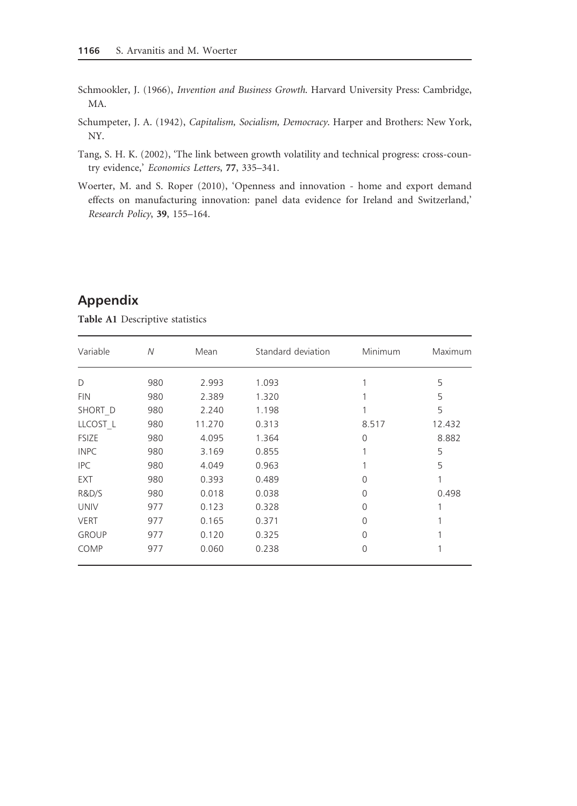- <span id="page-26-0"></span>Schmookler, J. (1966), Invention and Business Growth. Harvard University Press: Cambridge, MA.
- Schumpeter, J. A. (1942), Capitalism, Socialism, Democracy. Harper and Brothers: New York, NY.
- Tang, S. H. K. (2002), 'The link between growth volatility and technical progress: cross-country evidence,' Economics Letters, 77, 335–341.
- Woerter, M. and S. Roper (2010), 'Openness and innovation home and export demand effects on manufacturing innovation: panel data evidence for Ireland and Switzerland,' Research Policy, 39, 155–164.

# Appendix

Table A1 Descriptive statistics

| Variable         | $\mathcal N$ | Mean   | Standard deviation | Minimum        | Maximum |
|------------------|--------------|--------|--------------------|----------------|---------|
| D                | 980          | 2.993  | 1.093              |                | 5       |
| <b>FIN</b>       | 980          | 2.389  | 1.320              |                | 5       |
| SHORT D          | 980          | 2.240  | 1.198              |                | 5       |
| LLCOST L         | 980          | 11.270 | 0.313              | 8.517          | 12.432  |
| <b>FSIZE</b>     | 980          | 4.095  | 1.364              | $\overline{0}$ | 8.882   |
| <b>INPC</b>      | 980          | 3.169  | 0.855              |                | 5       |
| <b>IPC</b>       | 980          | 4.049  | 0.963              |                | 5       |
| <b>EXT</b>       | 980          | 0.393  | 0.489              | $\Omega$       | 1       |
| <b>R&amp;D/S</b> | 980          | 0.018  | 0.038              | $\Omega$       | 0.498   |
| <b>UNIV</b>      | 977          | 0.123  | 0.328              | $\Omega$       |         |
| <b>VERT</b>      | 977          | 0.165  | 0.371              | $\Omega$       |         |
| <b>GROUP</b>     | 977          | 0.120  | 0.325              | 0              |         |
| COMP             | 977          | 0.060  | 0.238              | $\overline{0}$ |         |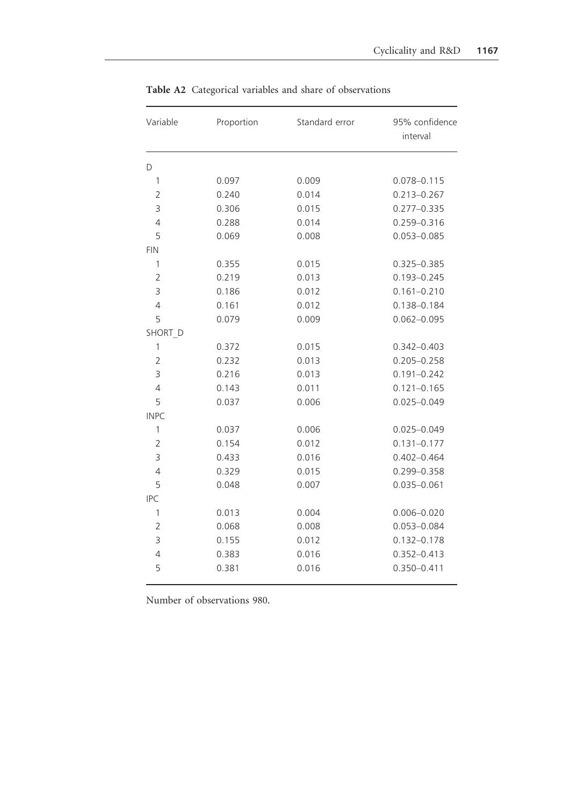| Variable       | Proportion | Standard error | 95% confidence<br>interval |
|----------------|------------|----------------|----------------------------|
| D              |            |                |                            |
| 1              | 0.097      | 0.009          | $0.078 - 0.115$            |
| $\overline{2}$ | 0.240      | 0.014          | $0.213 - 0.267$            |
| 3              | 0.306      | 0.015          | $0.277 - 0.335$            |
| 4              | 0.288      | 0.014          | $0.259 - 0.316$            |
| 5              | 0.069      | 0.008          | $0.053 - 0.085$            |
| <b>FIN</b>     |            |                |                            |
| 1              | 0.355      | 0.015          | $0.325 - 0.385$            |
| $\overline{2}$ | 0.219      | 0.013          | $0.193 - 0.245$            |
| 3              | 0.186      | 0.012          | $0.161 - 0.210$            |
| 4              | 0.161      | 0.012          | $0.138 - 0.184$            |
| 5              | 0.079      | 0.009          | $0.062 - 0.095$            |
| SHORT D        |            |                |                            |
| 1              | 0.372      | 0.015          | $0.342 - 0.403$            |
| $\overline{2}$ | 0.232      | 0.013          | $0.205 - 0.258$            |
| 3              | 0.216      | 0.013          | $0.191 - 0.242$            |
| 4              | 0.143      | 0.011          | $0.121 - 0.165$            |
| 5              | 0.037      | 0.006          | $0.025 - 0.049$            |
| <b>INPC</b>    |            |                |                            |
| 1              | 0.037      | 0.006          | $0.025 - 0.049$            |
| $\overline{2}$ | 0.154      | 0.012          | $0.131 - 0.177$            |
| 3              | 0.433      | 0.016          | $0.402 - 0.464$            |
| 4              | 0.329      | 0.015          | $0.299 - 0.358$            |
| 5              | 0.048      | 0.007          | $0.035 - 0.061$            |
| <b>IPC</b>     |            |                |                            |
| 1              | 0.013      | 0.004          | $0.006 - 0.020$            |
| $\overline{2}$ | 0.068      | 0.008          | $0.053 - 0.084$            |
| 3              | 0.155      | 0.012          | $0.132 - 0.178$            |
| 4              | 0.383      | 0.016          | $0.352 - 0.413$            |
| 5              | 0.381      | 0.016          | $0.350 - 0.411$            |

<span id="page-27-0"></span>Table A2 Categorical variables and share of observations

Number of observations 980.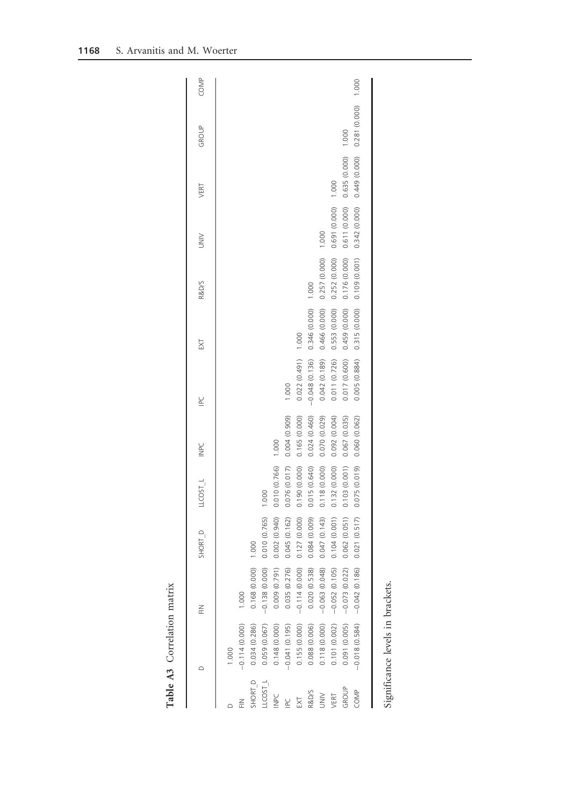| Table A3 Correlation matrix |                 |                          |              |                 |               |                 |               |               |               |              |               |       |
|-----------------------------|-----------------|--------------------------|--------------|-----------------|---------------|-----------------|---------------|---------------|---------------|--------------|---------------|-------|
|                             | ≏               | $\leq$                   | SHORT D      | <b>ITCOST 1</b> | INPC          | $\cong$         | EXT           | R&D/S         | NIN           | VERT         | GROUP         | COMP  |
|                             | 1.000           |                          |              |                 |               |                 |               |               |               |              |               |       |
| $\leq$                      | $-0.114(0.000)$ | 1.000                    |              |                 |               |                 |               |               |               |              |               |       |
| SHORT D                     | 0.034 (0.286)   | $(0.000)$ 1.000<br>0.168 |              |                 |               |                 |               |               |               |              |               |       |
| TCOST <sub>L</sub>          | 0.059(0.067)    | (0.000)<br>$-0.138$      | 0.010(0.765) | 1.000           |               |                 |               |               |               |              |               |       |
| INPC                        | 0.148(0.000)    | (0.791)<br>0.009         | 0.002(0.940) | 0.010(0.766)    | 1.000         |                 |               |               |               |              |               |       |
| ΡC                          | $-0.041(0.195)$ | (0.276)<br>0.035         | 0.045(0.162) | 0.076(0.017)    | 0.004(0.909)  | 1.000           |               |               |               |              |               |       |
| ΕXΙ                         | 0.155(0.000)    | (0.000)<br>$-0.114$      | 0.127(0.000) | 0.190(0.000)    | 0.165(0.000)  | 0.022(0.491)    | 1.000         |               |               |              |               |       |
| R&D/S                       | 0.088(0.006)    | (0.538)<br>0.020         | 0.084(0.009) | 0.015(0.640)    | 0.024(0.460)  | $-0.048(0.136)$ | 0.346 (0.000) | 1.000         |               |              |               |       |
| $\geq$                      | 0.118 (0.000)   | (0.048)<br>$-0.063$      | 0.047(0.143) | 0.118 (0.000)   | 0.070 (0.029) | 0.042(0.189)    | 0.466 (0.000) | 0.257 (0.000) | 1.000         |              |               |       |
| VERT                        | 0.101(0.002)    | (0.105)<br>$-0.052$      | 0.104(0.001) | 0.132(0.000)    | 0.092(0.004)  | 0.011 (0.726)   | 0.553 (0.000) | 0.252(0.000)  | 0.691 (0.000) | 1.000        |               |       |
| GROUP                       | 0.091 (0.005)   | (0.022)<br>$-0.073$      | 0.062(0.051) | 0.103(0.001)    | 0.067(0.035)  | 0.017(0.600)    | 0.459 (0.000) | 0.176 (0.000) | 0.611 (0.000) | 0.635(0.000) | 1.000         |       |
| COMP                        | $-0.018(0.584)$ | (0.186)<br>$-0.042$      | 0.021(0.517) | 0.075(0.019)    | 0.060(0.062)  | 0.005(0.884)    | 0.315(0.000)  | 0.109 (0.001) | 0.342(0.000)  | 0.449(0.000) | 0.281 (0.000) | 1.000 |

<span id="page-28-0"></span>1168 S. Arvanitis and M. Woerter